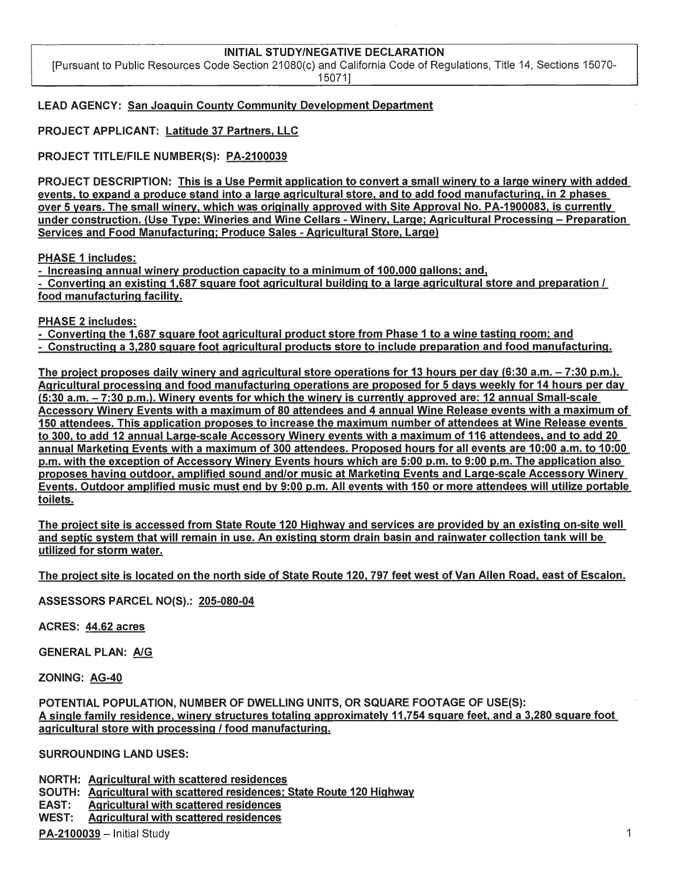# INITIAL STUDY/NEGATIVE DECLARATION

[Pursuant to Public Resources Code Section 21080(c) and California Code of Regulations, Title 14, Sections 15070- 15071]

LEAD AGENCY: San Joaquin County Community Development Department

PROJECT APPLICANT: Latitude 37 Partners, LLC

PROJECT TITLE/FILE NUMBER(S): PA-2100039

PROJECT DESCRIPTION: This is a Use Permit application to convert a small winery to a large winery with added events. to expand a produce stand into a large agricultural store, and to add food manufacturing, in 2 phases over 5 years. The small winery, which was originally approved with Site Approval No. PA-1900083, is currently under construction. (Use Type: Wineries and Wine Cellars - Winery, Large: Agricultural Processing - Preparation Services and Food Manufacturing: Produce Sales - Agricultural Store, Large)

PHASE 1 includes:

- Increasing annual winery production capacity to a minimum of 100,000 gallons: and, Converting an existing 1,687 square foot agricultural building to a large agricultural store and preparation/ food manufacturing facility.

PHASE 2 includes:

- Converting the 1,687 square foot agricultural product store from Phase 1 to a wine tasting room: and - Constructing a 3,280 square foot agricultural products store to include preparation and food manufacturing.

The project proposes daily winery and agricultural store operations for 13 hours per day (6:30 a.m.  $-7:30$  p.m.). Agricultural processing and food manufacturing operations are proposed for 5 days weekly for 14 hours per day (5:30 a.m. - 7:30 p.m.). Winery events for which the winery is currently approved are: 12 annual Small-scale Accessory Winery Events with a maximum of 80 attendees and 4 annual Wine Release events with a maximum of 150 attendees. This application proposes to increase the maximum number of attendees at Wine Release events to 300, to add 12 annual Large-scale Accessory Winery events with a maximum of 116 attendees, and to add 20 annual Marketing Events with a maximum of 300 attendees. Proposed hours for all events are 10:00 a.m. to 10:00 p.m. with the exception of Accessory Winery Events hours which are 5:00 p.m. to 9:00 p.m. The application also proposes having outdoor, amplified sound and/or music at Marketing Events and Large-scale Accessory Winery Events. Outdoor amplified music must end by 9:00 p.m. All events with 150 or more attendees will utilize portable toilets.

The project site is accessed from State Route 120 Highway and services are provided by an existing on-site well and septic system that will remain in use. An existing storm drain basin and rainwater collection tank will be utilized for storm water.

The project site is located on the north side of State Route 120, 797 feet west of Van Allen Road, east of Escalon.

ASSESSORS PARCEL NO(S).: 205-080-04

ACRES: 44.62 acres

GENERAL PLAN: A/G

ZONING: AG-40

POTENTIAL POPULATION, NUMBER OF DWELLING UNITS, OR SQUARE FOOTAGE OF USE(S): A single family residence, winery structures totaling approximately 11,754 square feet, and a 3,280 square foot agricultural store with processing/ food manufacturing.

# SURROUNDING LAND USES:

NORTH: Agricultural with scattered residences

SOUTH: Agricultural with scattered residences: State Route 120 Highway

EAST: Agricultural with scattered residences

WEST: Agricultural with scattered residences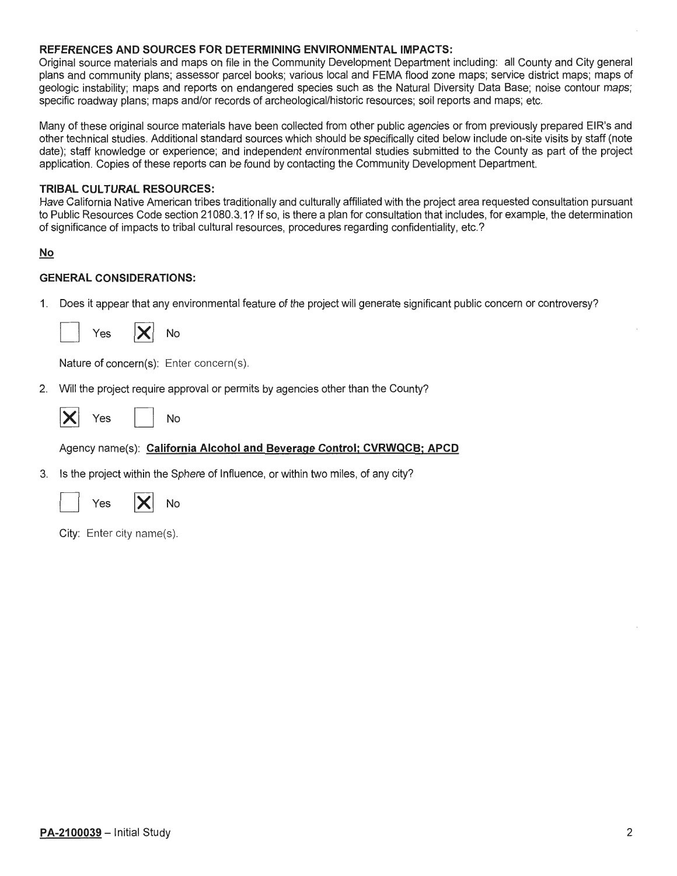# **REFERENCES AND SOURCES FOR DETERMINING ENVIRONMENTAL IMPACTS:**

Original source materials and maps on file in the Community Development Department including: all County and City general plans and community plans; assessor parcel books; various local and FEMA flood zone maps; service district maps; maps of geologic instability; maps and reports on endangered species such as the Natural Diversity Data Base; noise contour maps; specific roadway plans; maps and/or records of archeological/historic resources; soil reports and maps; etc.

Many of these original source materials have been collected from other public agencies or from previously prepared EIR's and other technical studies. Additional standard sources which should be specifically cited below include on-site visits by staff (note date); staff knowledge or experience; and independent environmental studies submitted to the County as part of the project application. Copies of these reports can be found by contacting the Community Development Department.

# **TRIBAL CULTURAL RESOURCES:**

Have California Native American tribes traditionally and culturally affiliated with the project area requested consultation pursuant to Public Resources Code section 21080.3.1? If so, is there a plan for consultation that includes, for example, the determination of significance of impacts to tribal cultural resources, procedures regarding confidentiality, etc.?

# **No**

# **GENERAL CONSIDERATIONS:**

1. Does it appear that any environmental feature of the project will generate significant public concern or controversy?

| Yes | X | No |
|-----|---|----|
|-----|---|----|

Nature of concern(s): Enter concern(s).

2. Will the project require approval or permits by agencies other than the County?

| X | Yes |  | No |
|---|-----|--|----|
|---|-----|--|----|

Agency name(s): **California Alcohol and Beverage Control: CVRWQCB: APCD** 

3. Is the project within the Sphere of Influence, or within two miles, of any city?



City: Enter city name(s).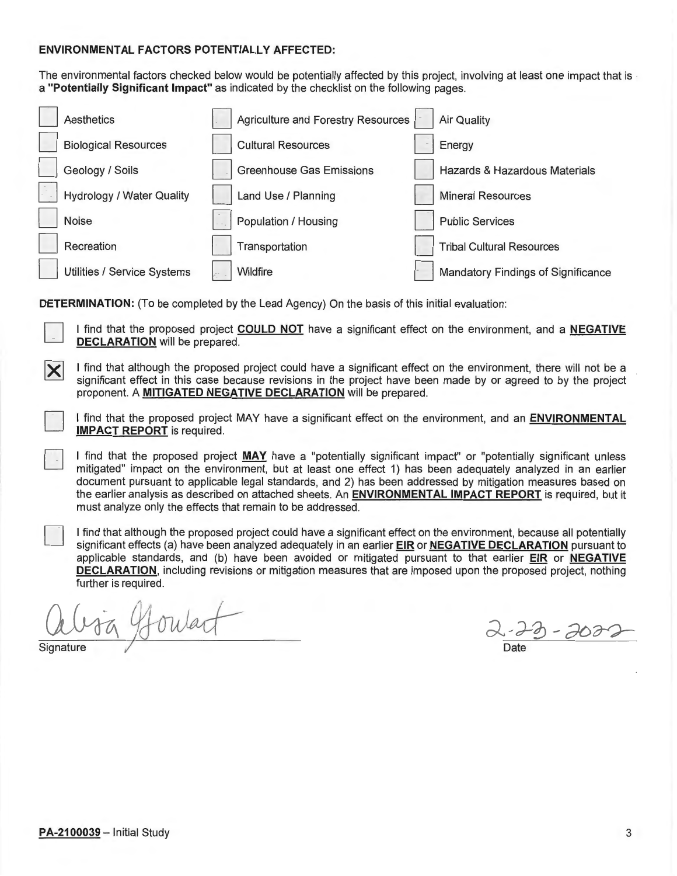# **ENVIRONMENTAL FACTORS POTENTIALLY AFFECTED:**

The environmental factors checked below would be potentially affected by this project, involving at least one impact that is  $\cdot$ <sup>a</sup>**"Potentially Significant Impact"** as indicated by the checklist on the following pages.

| Aesthetics                       | <b>Agriculture and Forestry Resources</b> | <b>Air Quality</b>                        |
|----------------------------------|-------------------------------------------|-------------------------------------------|
| <b>Biological Resources</b>      | <b>Cultural Resources</b>                 | Energy                                    |
| Geology / Soils                  | <b>Greenhouse Gas Emissions</b>           | Hazards & Hazardous Materials             |
| <b>Hydrology / Water Quality</b> | Land Use / Planning                       | <b>Mineral Resources</b>                  |
| Noise                            | Population / Housing                      | <b>Public Services</b>                    |
| Recreation                       | Transportation                            | <b>Tribal Cultural Resources</b>          |
| Utilities / Service Systems      | Wildfire                                  | <b>Mandatory Findings of Significance</b> |

**DETERMINATION:** (To be completed by the Lead Agency) On the basis of this initial evaluation:

I find that the proposed project **COULD NOT** have a significant effect on the environment, and a **NEGATIVE DECLARATION** will be prepared.

I find that although the proposed project could have a significant effect on the environment, there will not be a significant effect in this case because revisions in the project have been made by or agreed to by the project proponent. A **MITIGATED NEGATIVE DECLARATION** will be prepared.

I find that the proposed project MAY have a significant effect on the environment, and an **ENVIRONMENTAL IMPACT REPORT** is required.

I find that the proposed project **MAY** have a "potentially significant impact" or "potentially significant unless mitigated" impact on the environment, but at least one effect 1) has been adequately analyzed in an earlier document pursuant to applicable legal standards, and 2) has been addressed by mitigation measures based on the earlier analysis as described on attached sheets. An **ENVIRONMENTAL IMPACT REPORT** is required, but it must analyze only the effects that remain to be addressed.

I find that although the proposed project could have a significant effect on the environment, because all potentially significant effects (a) have been analyzed adequately in an earlier **EIR or NEGATIVE DECLARATION** pursuant to applicable standards, and (b) have been avoided or mitigated pursuant to that earlier **EIR or NEGATIVE DECLARATION,** including revisions or mitigation measures that are imposed upon the proposed project, nothing further is required.

a foulart

Signature

 $\vert\boldsymbol{\mathsf{X}}\vert$ 

 $-23 - 2002$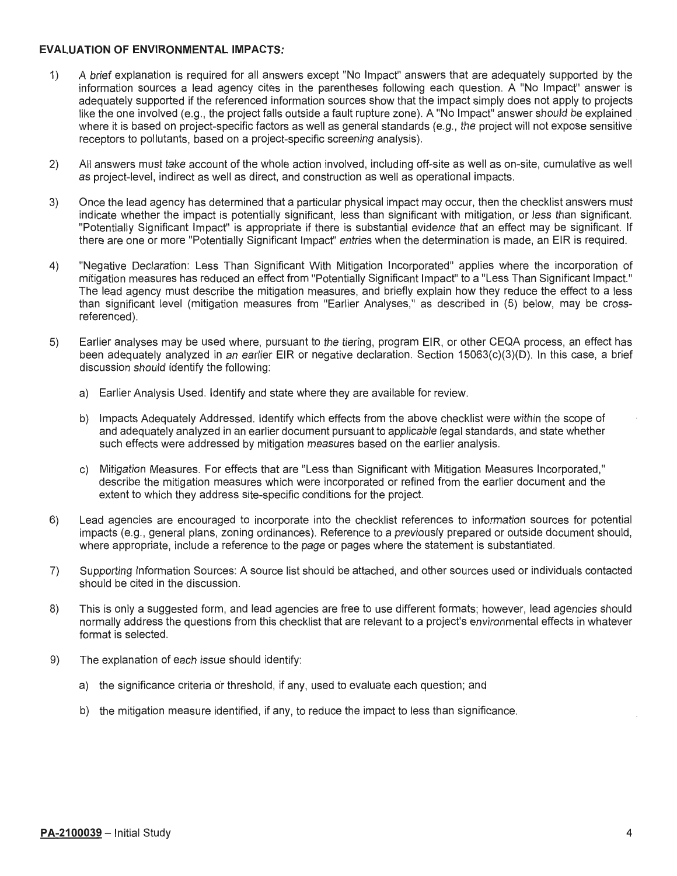# **EVALUATION OF ENVIRONMENTAL IMPACTS:**

- 1) A brief explanation is required for all answers except "No Impact" answers that are adequately supported by the information sources a lead agency cites in the parentheses following each question. A "No Impact" answer is adequately supported if the referenced information sources show that the impact simply does not apply to projects like the one involved (e.g., the project falls outside a fault rupture zone). A "No Impact" answer should be explained where it is based on project-specific factors as well as general standards (e.g., the project will not expose sensitive receptors to pollutants, based on a project-specific screening analysis).
- 2) All answers must take account of the whole action involved, including off-site as well as on-site, cumulative as well as project-level, indirect as well as direct, and construction as well as operational impacts.
- 3) Once the lead agency has determined that a particular physical impact may occur, then the checklist answers must indicate whether the impact is potentially significant, less than significant with mitigation, or less than significant. "Potentially Significant Impact" is appropriate if there is substantial evidence that an effect may be significant. If there are one or more "Potentially Significant Impact" entries when the determination is made, an EIR is required.
- 4) "Negative Declaration: Less Than Significant With Mitigation Incorporated" applies where the incorporation of mitigation measures has reduced an effect from "Potentially Significant Impact" to a "Less Than Significant Impact." The lead agency must describe the mitigation measures, and briefly explain how they reduce the effect to a less than significant level (mitigation measures from "Earlier Analyses," as described in (5) below, may be crossreferenced).
- 5) Earlier analyses may be used where, pursuant to the tiering, program EIR, or other CEQA process, an effect has been adequately analyzed in an earlier EIR or negative declaration. Section 15063(c)(3)(D). In this case, a brief discussion should identify the following:
	- a) Earlier Analysis Used. Identify and state where they are available for review.
	- b) Impacts Adequately Addressed. Identify which effects from the above checklist were within the scope of and adequately analyzed in an earlier document pursuant to applicable legal standards, and state whether such effects were addressed by mitigation measures based on the earlier analysis.
	- c) Mitigation Measures. For effects that are "Less than Significant with Mitigation Measures Incorporated," describe the mitigation measures which were incorporated or refined from the earlier document and the extent to which they address site-specific conditions for the project.
- 6) Lead agencies are encouraged to incorporate into the checklist references to information sources for potential impacts (e.g., general plans, zoning ordinances). Reference to a previously prepared or outside document should, where appropriate, include a reference to the page or pages where the statement is substantiated.
- 7) Supporting Information Sources: A source list should be attached, and other sources used or individuals contacted should be cited in the discussion.
- 8) This is only a suggested form, and lead agencies are free to use different formats; however, lead agencies should normally address the questions from this checklist that are relevant to a project's environmental effects in whatever format is selected.
- 9) The explanation of each issue should identify:
	- a) the significance criteria or threshold, if any, used to evaluate each question; and
	- b) the mitigation measure identified, if any, to reduce the impact to less than significance.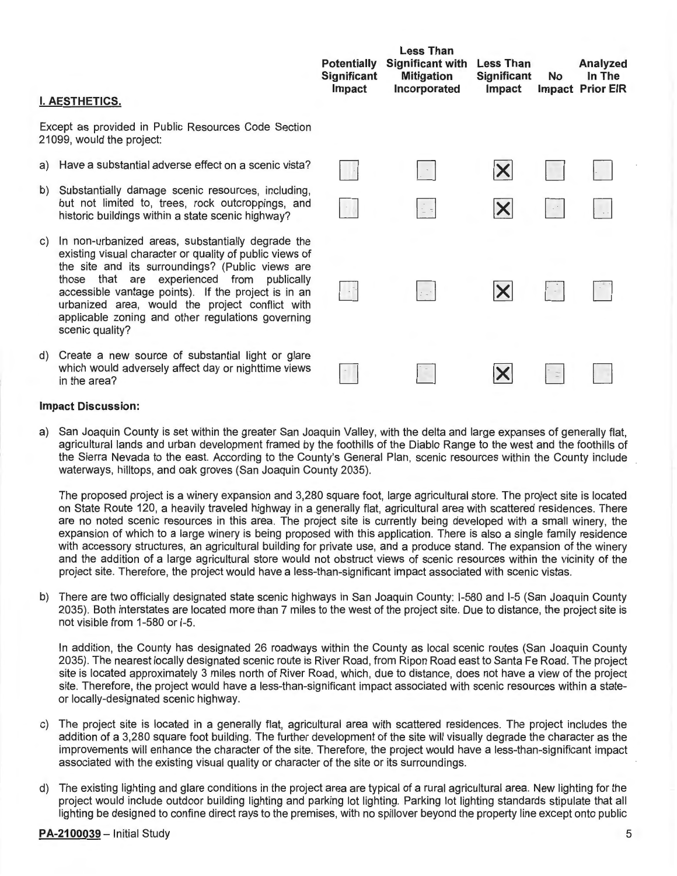#### **Less Than Potentially Significant with Less Than Significant Mitigation Significant Incorporated Analyzed No In The Impact Impact Prior EIR**

# I. **AESTHETICS.**

Except as provided in Public Resources Code Section 21099, would the project:

- a) Have a substantial adverse effect on a scenic vista?
- b) Substantially damage scenic resources, including, but not limited to, trees, rock outcroppings, and historic buildings within a state scenic highway?
- c) In non-urbanized areas, substantially degrade the existing visual character or quality of public views of the site and its surroundings? (Public views are those that are experienced from publically accessible vantage points). If the project is in an urbanized area, would the project conflict with applicable zoning and other regulations governing scenic quality?
- d) Create a new source of substantial light or glare which would adversely affect day or nighttime views in the area?

| $\mathcal{C}$ | $\frac{1}{2}$ $\pi$ | $\overline{\mathsf{X}}$<br>$\vert\boldsymbol{\mathsf{X}}\vert$ | $\mathcal{L}^{\text{in}}$                                           | $\overline{a}$<br>$\vert \cdot \vert$ |
|---------------|---------------------|----------------------------------------------------------------|---------------------------------------------------------------------|---------------------------------------|
| $\sim$ $\sim$ | $\mathbb{R}^{d-1}$  |                                                                | XIII                                                                | F.                                    |
|               |                     | $\vert$ $\times$ $\vert$                                       | $\begin{bmatrix} 1 & 1 & 1 \\ 1 & 1 & 1 \\ 1 & 1 & 1 \end{bmatrix}$ |                                       |

### **Impact Discussion:**

a) San Joaquin County is set within the greater San Joaquin Valley, with the delta and large expanses of generally flat, agricultural lands and urban development framed by the foothills of the Diablo Range to the west and the foothills of the Sierra Nevada to the east. According to the County's General Plan, scenic resources within the County include waterways, hilltops, and oak groves (San Joaquin County 2035).

The proposed project is a winery expansion and 3,280 square foot, large agricultural store. The project site is located on State Route 120, a heavily traveled highway in a generally flat, agricultural area with scattered residences. There are no noted scenic resources in this area. The project site is currently being developed with a small winery, the expansion of which to a large winery is being proposed with this application. There is also a single family residence with accessory structures, an agricultural building for private use, and a produce stand. The expansion of the winery and the addition of a large agricultural store would not obstruct views of scenic resources within the vicinity of the project site. Therefore, the project would have a less-than-significant impact associated with scenic vistas.

b) There are two officially designated state scenic highways in San Joaquin County: 1-580 and 1-5 (San Joaquin County 2035). Both interstates are located more than 7 miles to the west of the project site. Due to distance, the project site is not visible from 1-580 or 1-5.

In addition, the County has designated 26 roadways within the County as local scenic routes (San Joaquin County 2035). The nearest locally designated scenic route is River Road, from Ripon Road east to Santa Fe Road. The project site is located approximately 3 miles north of River Road, which, due to distance, does not have a view of the project site. Therefore, the project would have a less-than-significant impact associated with scenic resources within a stateor locally-designated scenic highway.

- c) The project site is located in a generally flat, agricultural area with scattered residences. The project includes the addition of a 3,280 square foot building. The further development of the site will visually degrade the character as the improvements will enhance the character of the site. Therefore, the project would have a less-than-significant impact associated with the existing visual quality or character of the site or its surroundings.
- d) The existing lighting and glare conditions in the project area are typical of a rural agricultural area. New lighting for the project would include outdoor building lighting and parking lot lighting. Parking lot lighting standards stipulate that all lighting be designed to confine direct rays to the premises, with no spillover beyond the property line except onto public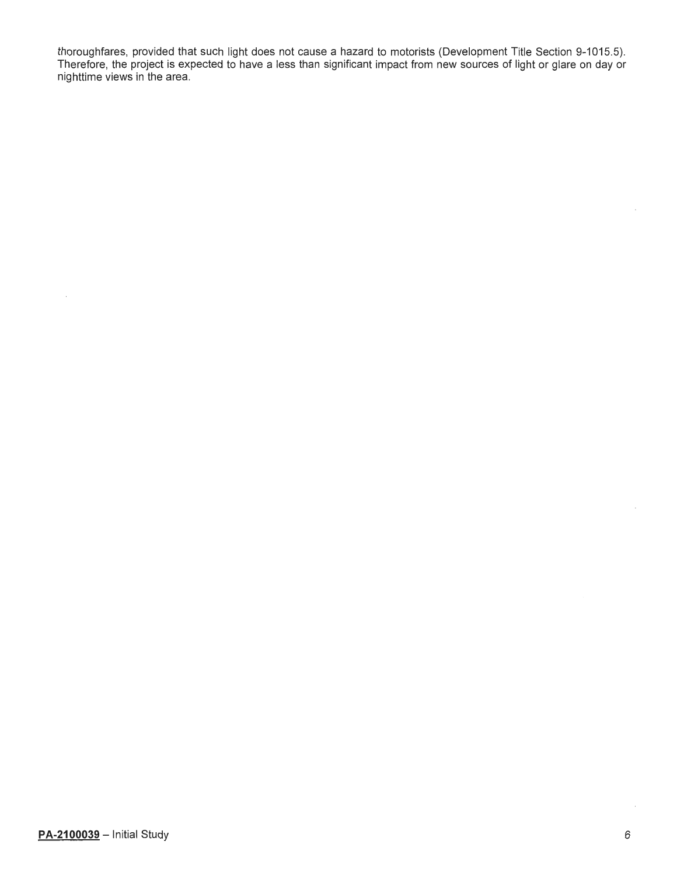thoroughfares, provided that such light does not cause a hazard to motorists (Development Title Section 9-1015.5). Therefore, the project is expected to have a less than significant impact from new sources of light or glare on day or nighttime views in the area.

 $\bar{z}$ 

 $\bar{\gamma}$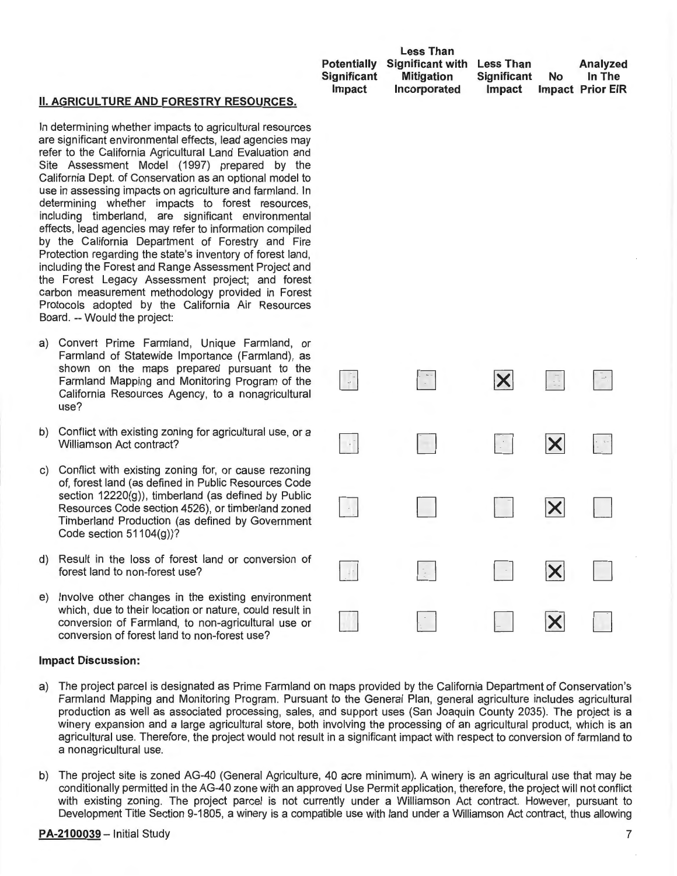**Less Than** 

**Analyzed** 

**No In The Impact Prior EIR** 

# II. **AGRICULTURE AND FORESTRY RESOURCES.**

In determining whether impacts to agricultural resources are significant environmental effects, lead agencies may refer to the California Agricultural Land Evaluation and Site Assessment Model (1997) prepared by the California Dept. of Conservation as an optional model to use in assessing impacts on agriculture and farmland. In determining whether impacts to forest resources, including timberland, are significant environmental effects, lead agencies may refer to information compiled by the California Department of Forestry and Fire Protection regarding the state's inventory of forest land, including the Forest and Range Assessment Project and the Forest Legacy Assessment project; and forest carbon measurement methodology provided in Forest Protocols adopted by the California Air Resources Board. -- Would the project:

- a) Convert Prime Farmland, Unique Farmland, or Farmland of Statewide Importance (Farmland), as shown on the maps prepared pursuant to the Farmland Mapping and Monitoring Program of the California Resources Agency, to a nonagricultural use?
- b) Conflict with existing zoning for agricultural use, or a Williamson Act contract?
- c) Conflict with existing zoning for, or cause rezoning of, forest land (as defined in Public Resources Code section  $12220(q)$ ), timberland (as defined by Public Resources Code section 4526), or timberland zoned Timberland Production (as defined by Government Code section 51104(g))?
- d) Result in the loss of forest land or conversion of forest land to non-forest use?
- e) Involve other changes in the existing environment which, due to their location or nature, could result in conversion of Farmland, to non-agricultural use or conversion of forest land to non-forest use?

# **Impact Discussion:**

- a) The project parcel is designated as Prime Farmland on maps provided by the California Department of Conservation's Farmland Mapping and Monitoring Program. Pursuant to the General Plan, general agriculture includes agricultural production as well as associated processing, sales, and support uses (San Joaquin County 2035). The project is a winery expansion and a large agricultural store, both involving the processing of an agricultural product, which is an agricultural use. Therefore, the project would not result in a significant impact with respect to conversion of farmland to a nonagricultural use.
- b) The project site is zoned AG-40 (General Agriculture, 40 acre minimum). A winery is an agricultural use that may be conditionally permitted in the AG-40 zone with an approved Use Permit application, therefore, the project will not conflict with existing zoning. The project parcel is not currently under a Williamson Act contract. However, pursuant to Development Title Section 9-1805, a winery is a compatible use with land under a Williamson Act contract, thus allowing

|                             |    | $\overline{\mathsf{X}}$     | $\frac{1}{\sqrt{2}}$    | $\mathbb{R}^2$                                 |  |
|-----------------------------|----|-----------------------------|-------------------------|------------------------------------------------|--|
| $\mathcal{A}$               |    | $\mathcal{L}_{\mathcal{A}}$ | $\overline{\mathsf{x}}$ | $\begin{bmatrix} 1 & 1 \\ 1 & 1 \end{bmatrix}$ |  |
| $\mathcal{A}_{\mathcal{A}}$ |    |                             | $\overline{\mathsf{X}}$ |                                                |  |
| $\pm 0$                     | ♦  | $\triangle$                 | $\overline{\mathsf{X}}$ |                                                |  |
|                             | F. |                             | $\vert\mathsf{X}\vert$  |                                                |  |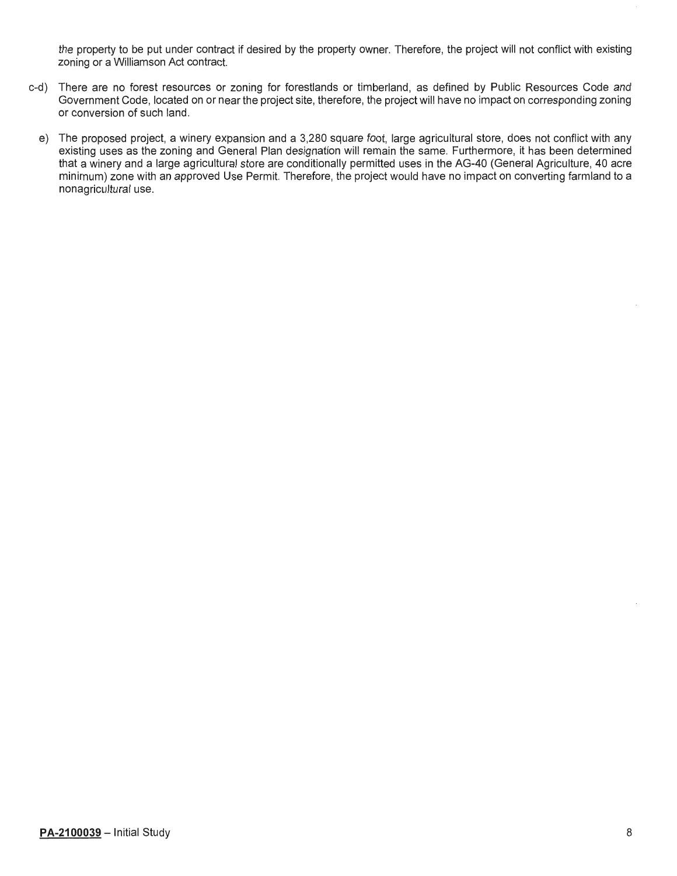the property to be put under contract if desired by the property owner. Therefore, the project will not conflict with existing zoning or a Williamson Act contract.

- c-d) There are no forest resources or zoning for forestlands or timberland, as defined by Public Resources Code and Government Code, located on or near the project site, therefore, the project will have no impact on corresponding zoning or conversion of such land.
	- e) The proposed project, a winery expansion and a 3,280 square foot, large agricultural store, does not conflict with any existing uses as the zoning and General Plan designation will remain the same. Furthermore, it has been determined that a winery and a large agricultural store are conditionally permitted uses in the AG-40 (General Agriculture, 40 acre minimum) zone with an approved Use Permit. Therefore, the project would have no impact on converting farmland to a nonagricultural use.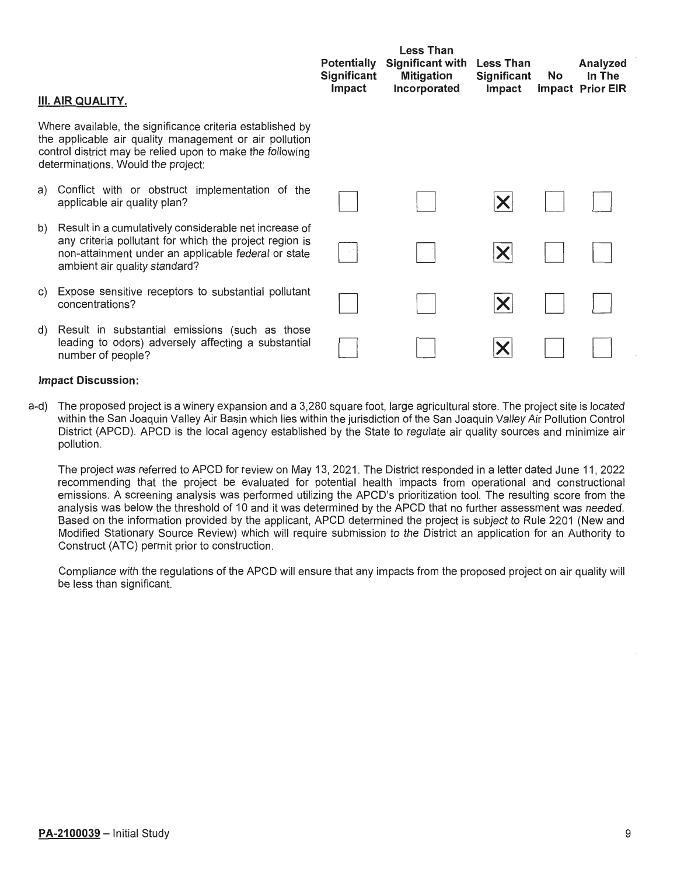| <b>Potentially</b><br>Significant<br>Impact | <b>Less Than</b><br><b>Significant with</b><br><b>Mitigation</b><br>Incorporated | <b>Less Than</b><br><b>Significant</b><br><b>Impact</b> | No | <b>Analyzed</b><br>In The<br><b>Impact Prior EIR</b> |
|---------------------------------------------|----------------------------------------------------------------------------------|---------------------------------------------------------|----|------------------------------------------------------|
|                                             |                                                                                  |                                                         |    |                                                      |
|                                             |                                                                                  |                                                         |    |                                                      |
|                                             |                                                                                  |                                                         |    |                                                      |
|                                             |                                                                                  |                                                         |    |                                                      |

### Ill. **AIR QUALITY.**

Where available, the significance criteria established by the applicable air quality management or air pollution control district may be relied upon to make the following determinations. Would the project:

- a) Conflict with or obstruct implementation of the applicable air quality plan?
- b) Result in a cumulatively considerable net increase of any criteria pollutant for which the project region is non-attainment under an applicable federal or state ambient air quality standard?
- c) Expose sensitive receptors to substantial pollutant concentrations?
- d) Result in substantial emissions (such as those leading to odors) adversely affecting a substantial number of people?

### **Impact Discussion:**

a-d) The proposed project is a winery expansion and a 3,280 square foot, large agricultural store. The project site is located within the San Joaquin Valley Air Basin which lies within the jurisdiction of the San Joaquin Valley Air Pollution Control District (APCD). APCD is the local agency established by the State to regulate air quality sources and minimize air pollution.

The project was referred to APCD for review on May 13, 2021. The District responded in a letter dated June 11, 2022 recommending that the project be evaluated for potential health impacts from operational and constructional emissions. A screening analysis was performed utilizing the APCD's prioritization tool. The resulting score from the analysis was below the threshold of 10 and it was determined by the APCD that no further assessment was needed. Based on the information provided by the applicant, APCD determined the project is subject to Rule 2201 (New and Modified Stationary Source Review) which will require submission to the District an application for an Authority to Construct (ATC) permit prior to construction.

Compliance with the regulations of the APCD will ensure that any impacts from the proposed project on air quality will be less than significant.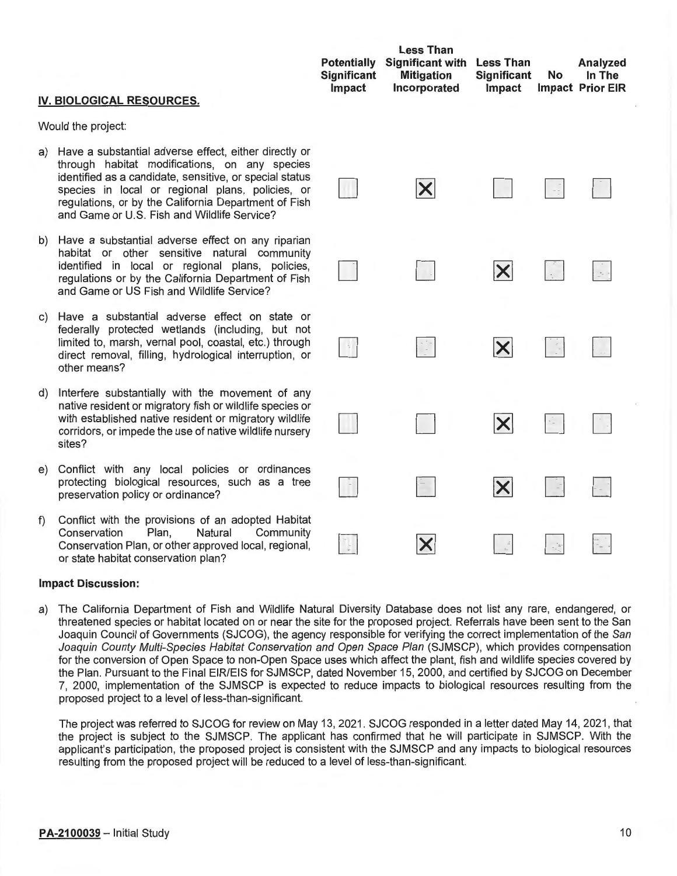# **IV. BIOLOGICAL RESOURCES.**

Would the project:

- a) Have a substantial adverse effect, either directly or through habitat modifications, on any species identified as a candidate, sensitive, or special status species in local or regional plans, policies, or regulations, or by the California Department of Fish and Game or U.S. Fish and Wildlife Service?
- b) Have a substantial adverse effect on any riparian habitat or other sensitive natural community identified in local or regional plans, policies, regulations or by the California Department of Fish and Game or US Fish and Wildlife Service?
- c) Have a substantial adverse effect on state or federally protected wetlands (including, but not limited to, marsh, vernal pool, coastal, etc.) through direct removal, filling, hydrological interruption, or other means?
- d) Interfere substantially with the movement of any native resident or migratory fish or wildlife species or with established native resident or migratory wildlife corridors, or impede the use of native wildlife nursery sites?
- e) Conflict with any local policies or ordinances protecting biological resources, such as a tree preservation policy or ordinance?
- f) Conflict with the provisions of an adopted Habitat Conservation Plan, Natural Community Conservation Plan, or other approved local, regional, or state habitat conservation plan?

| Potentially<br><b>Significant</b><br>Impact | <b>Significant with</b><br><b>Mitigation</b><br>Incorporated | <b>Less Than</b><br><b>Significant</b><br>Impact | <b>No</b>                        | <b>Analyzed</b><br>In The<br><b>Impact Prior EIR</b> |
|---------------------------------------------|--------------------------------------------------------------|--------------------------------------------------|----------------------------------|------------------------------------------------------|
|                                             | $\overline{\mathsf{x}}$                                      |                                                  | H,                               |                                                      |
|                                             | $\overline{a}$                                               | $\overline{\mathbf{x}}$                          |                                  | $\frac{1}{2} \frac{1}{2}$                            |
| $\ddot{\phantom{a}}$                        | $\begin{bmatrix} 1 & 0 \\ 0 & 1 \end{bmatrix}$               | $\overline{\mathsf{x}}$                          | $\left\lceil \cdot \right\rceil$ |                                                      |
|                                             |                                                              | $\vert \mathsf{X} \vert$                         |                                  |                                                      |
| $\overline{\phantom{a}}$                    |                                                              | $\vert\mathsf{X}\vert$                           | $\overline{a}$                   |                                                      |
| $\mathbb{P}$                                | $\boldsymbol{\mathsf{X}}$                                    | $\frac{1}{2}$                                    | $\frac{1}{2}$                    |                                                      |

# **Impact Discussion:**

a) The California Department of Fish and Wildlife Natural Diversity Database does not list any rare, endangered, or threatened species or habitat located on or near the site for the proposed project. Referrals have been sent to the San Joaquin Council of Governments (SJCOG), the agency responsible for verifying the correct implementation of the San Joaquin County Multi-Species Habitat Conservation and Open Space Plan (SJMSCP), which provides compensation for the conversion of Open Space to non-Open Space uses which affect the plant, fish and wildlife species covered by the Plan. Pursuant to the Final EIR/EIS for SJMSCP, dated November 15, 2000, and certified by SJCOG on December 7, 2000, implementation of the SJMSCP is expected to reduce impacts to biological resources resulting from the proposed project to a level of less-than-significant.

The project was referred to SJCOG for review on May 13, 2021 . SJCOG responded in a letter dated May 14, 2021, that the project is subject to the SJMSCP. The applicant has confirmed that he will participate in SJMSCP. With the applicant's participation, the proposed project is consistent with the SJMSCP and any impacts to biological resources resulting from the proposed project will be reduced to a level of less-than-significant.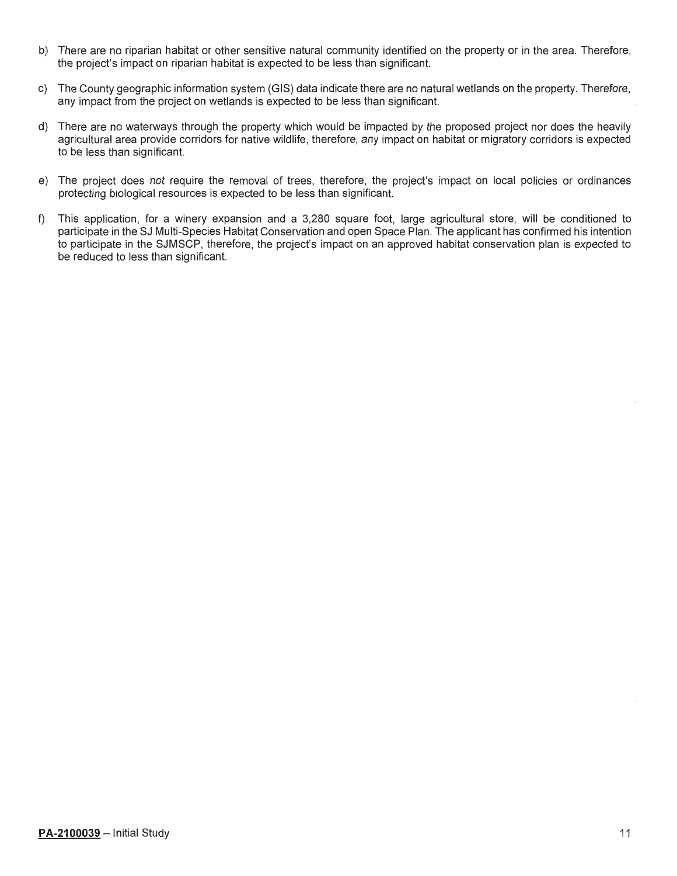- b) There are no riparian habitat or other sensitive natural community identified on the property or in the area. Therefore, the project's impact on riparian habitat is expected to be less than significant.
- c) The County geographic information system (GIS) data indicate there are no natural wetlands on the property. Therefore, any impact from the project on wetlands is expected to be less than significant.
- d) There are no waterways through the property which would be impacted by the proposed project nor does the heavily agricultural area provide corridors for native wildlife, therefore, any impact on habitat or migratory corridors is expected to be less than significant.
- e) The project does not require the removal of trees, therefore, the project's impact on local policies or ordinances protecting biological resources is expected to be less than significant.
- f) This application, for a winery expansion and a 3,280 square foot, large agricultural store, will be conditioned to participate in the SJ Multi-Species Habitat Conservation and open Space Plan. The applicant has confirmed his intention to participate in the SJMSCP, therefore, the project's impact on an approved habitat conservation plan is expected to be reduced to less than significant.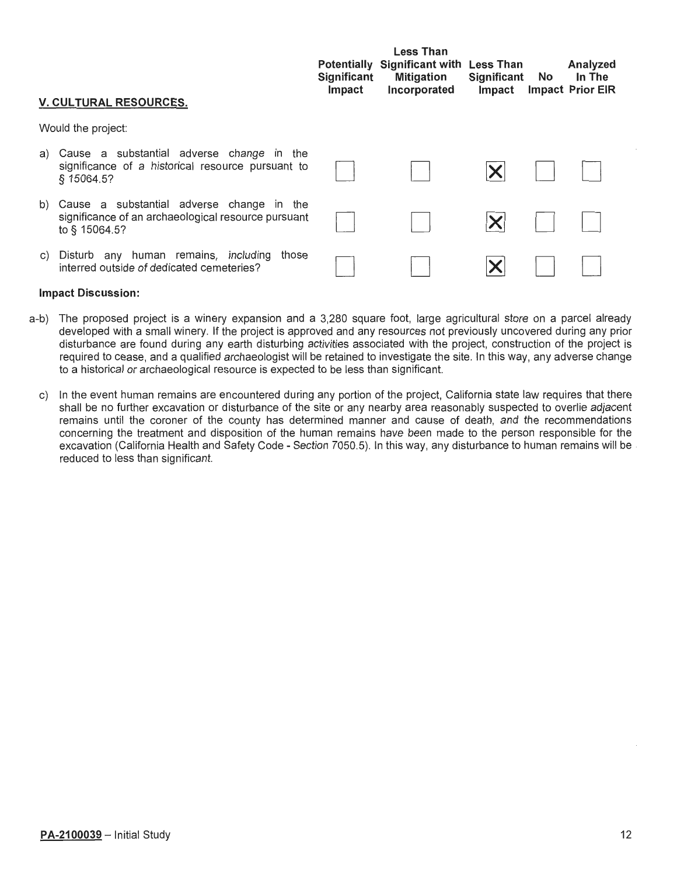# **Less Than Potentially Significant with Less Than Analyzed Significant Mitigation Significant No No Impact Incorporated Impact Impa Impact Impact Prior EIR V. CULTURAL RESOURCES.**  Would the project: a) Cause a substantial adverse change in the significance of a historical resource pursuant to  $\bm{\times}$ § 15064.5? b) Cause a substantial adverse change in the significance of an archaeological resource pursuant to§ 15064.5? c) Disturb any human remains, including those interred outside of dedicated cemeteries?

# **Impact Discussion:**

- a-b) The proposed project is a winery expansion and a 3,280 square foot, large agricultural store on a parcel already developed with a small winery. If the project is approved and any resources not previously uncovered during any prior disturbance are found during any earth disturbing activities associated with the project, construction of the project is required to cease, and a qualified archaeologist will be retained to investigate the site. In this way, any adverse change to a historical or archaeological resource is expected to be less than significant.
	- c) In the event human remains are encountered during any portion of the project, California state law requires that there shall be no further excavation or disturbance of the site or any nearby area reasonably suspected to overlie adjacent remains until the coroner of the county has determined manner and cause of death, and the recommendations concerning the treatment and disposition of the human remains have been made to the person responsible for the excavation (California Health and Safety Code - Section 7050.5). In this way, any disturbance to human remains will be reduced to less than significant.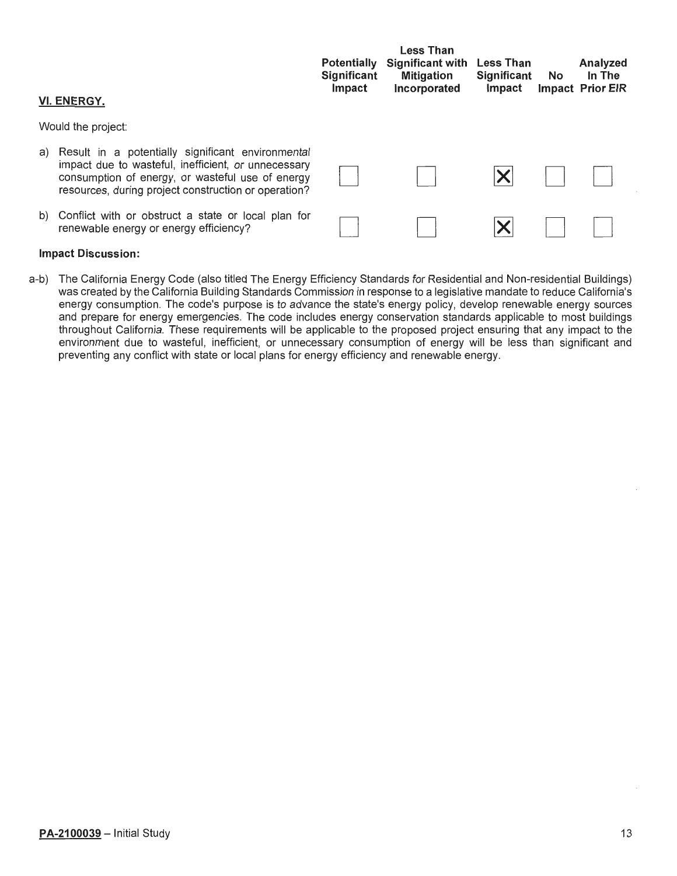|    | <b>VI. ENERGY.</b>                                                                                                                                                                                                   | <b>Potentially</b><br><b>Significant</b><br><b>Impact</b> | <b>Less Than</b><br><b>Significant with</b><br><b>Mitigation</b><br>Incorporated | <b>Less Than</b><br><b>Significant</b><br>Impact | No. | <b>Analyzed</b><br>In The<br><b>Impact Prior EIR</b> |
|----|----------------------------------------------------------------------------------------------------------------------------------------------------------------------------------------------------------------------|-----------------------------------------------------------|----------------------------------------------------------------------------------|--------------------------------------------------|-----|------------------------------------------------------|
|    | Would the project:                                                                                                                                                                                                   |                                                           |                                                                                  |                                                  |     |                                                      |
| a) | Result in a potentially significant environmental<br>impact due to wasteful, inefficient, or unnecessary<br>consumption of energy, or wasteful use of energy<br>resources, during project construction or operation? |                                                           |                                                                                  |                                                  |     |                                                      |
| b) | Conflict with or obstruct a state or local plan for<br>renewable energy or energy efficiency?                                                                                                                        |                                                           |                                                                                  |                                                  |     |                                                      |

# **Impact Discussion:**

a-b) The California Energy Code (also titled The Energy Efficiency Standards for Residential and Non-residential Buildings) was created by the California Building Standards Commission in response to a legislative mandate to reduce California's energy consumption. The code's purpose is to advance the state's energy policy, develop renewable energy sources and prepare for energy emergencies. The code includes energy conservation standards applicable to most buildings throughout California. These requirements will be applicable to the proposed project ensuring that any impact to the environment due to wasteful, inefficient, or unnecessary consumption of energy will be less than significant and preventing any conflict with state or local plans for energy efficiency and renewable energy.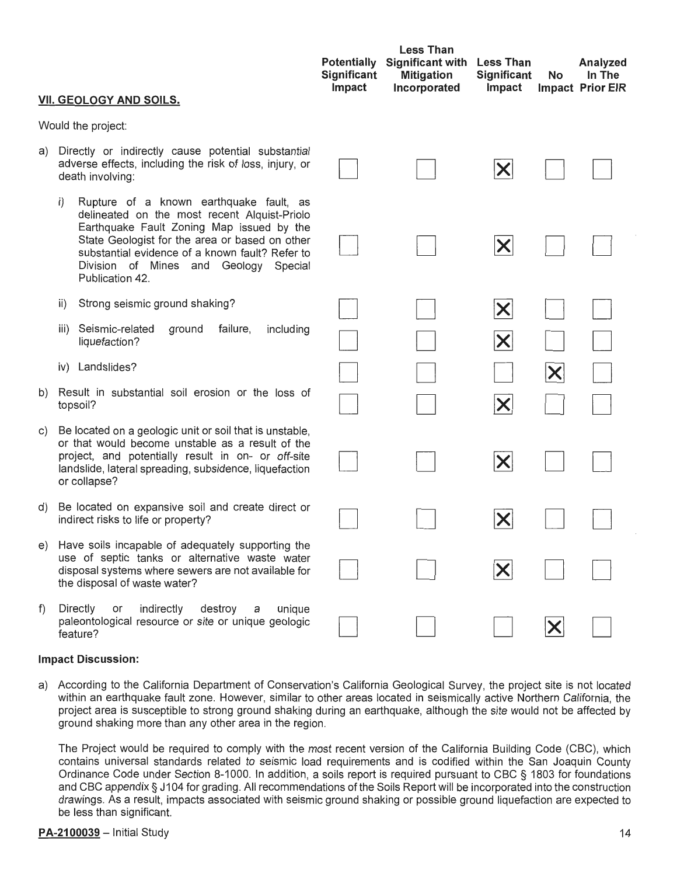**Potentially Significant with Less Than** 

**Less Than** 

**Analyzed No In The** 

# **VII. GEOLOGY AND SOILS.**

Would the project:

- a) Directly or indirectly cause potential substantial adverse effects, including the risk of loss, injury, or death involving:
	- i) Rupture of a known earthquake fault, as delineated on the most recent Alquist-Priolo Earthquake Fault Zoning Map issued by the State Geologist for the area or based on other substantial evidence of a known fault? Refer to Division of Mines and Geology Special Publication 42.
	- ii) Strong seismic ground shaking?
	- iii) Seismic-related ground failure, including liquefaction?
	- iv) Landslides?
- b) Result in substantial soil erosion or the loss of topsoil?
- c) Be located on a geologic unit or soil that is unstable, or that would become unstable as a result of the project, and potentially result in on- or off-site landslide, lateral spreading, subsidence, liquefaction or collapse?
- d) Be located on expansive soil and create direct or indirect risks to life or property?
- e) Have soils incapable of adequately supporting the use of septic tanks or alternative waste water disposal systems where sewers are not available for the disposal of waste water?
- f) Directly or indirectly destroy a unique paleontological resource or site or unique geologic feature?

### **Impact Discussion:**

a) According to the California Department of Conservation's California Geological Survey, the project site is not located within an earthquake fault zone. However, similar to other areas located in seismically active Northern California, the project area is susceptible to strong ground shaking during an earthquake, although the site would not be affected by ground shaking more than any other area in the region.

The Project would be required to comply with the most recent version of the California Building Code (CBC), which contains universal standards related to seismic load requirements and is codified within the San Joaquin County Ordinance Code under Section 8-1000. In addition, a soils report is required pursuant to CBC § 1803 for foundations and CBC appendix § J104 for grading. All recommendations of the Soils Report will be incorporated into the construction drawings. As a result, impacts associated with seismic ground shaking or possible ground liquefaction are expected to be less than significant.

|  | $\overline{\mathsf{X}}$                                                       |                          |  |
|--|-------------------------------------------------------------------------------|--------------------------|--|
|  | $\overline{\mathsf{X}}$                                                       |                          |  |
|  | $\overline{\mathsf{X}}$<br>$\overline{\mathsf{X}}$<br>$\overline{\mathsf{X}}$ | $\vert \mathsf{X} \vert$ |  |
|  | $\overline{\mathsf{X}}$                                                       |                          |  |
|  | $\overline{\mathsf{X}}$                                                       |                          |  |
|  | $\overline{\mathsf{X}}$                                                       |                          |  |
|  |                                                                               | $ \mathsf{X} $           |  |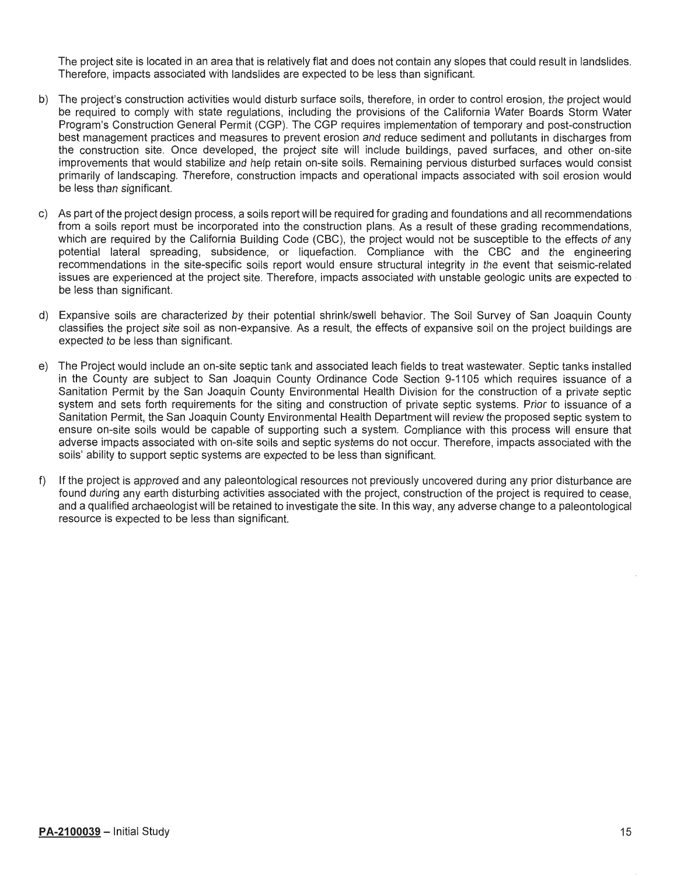The project site is located in an area that is relatively flat and does not contain any slopes that could result in landslides. Therefore, impacts associated with landslides are expected to be less than significant.

- b) The project's construction activities would disturb surface soils, therefore, in order to control erosion, the project would be required to comply with state regulations, including the provisions of the California Water Boards Storm Water Program's Construction General Permit (CGP). The CGP requires implementation of temporary and post-construction best management practices and measures to prevent erosion and reduce sediment and pollutants in discharges from the construction site. Once developed, the project site will include buildings, paved surfaces, and other on-site improvements that would stabilize and help retain on-site soils. Remaining pervious disturbed surfaces would consist primarily of landscaping. Therefore, construction impacts and operational impacts associated with soil erosion would be less than significant.
- c) As part of the project design process, a soils report will be required for grading and foundations and all recommendations from a soils report must be incorporated into the construction plans. As a result of these grading recommendations, which are required by the California Building Code (CBC), the project would not be susceptible to the effects of any potential lateral spreading, subsidence, or liquefaction. Compliance with the CBC and the engineering recommendations in the site-specific soils report would ensure structural integrity in the event that seismic-related issues are experienced at the project site. Therefore, impacts associated with unstable geologic units are expected to be less than significant.
- d) Expansive soils are characterized by their potential shrink/swell behavior. The Soil Survey of San Joaquin County classifies the project site soil as non-expansive. As a result, the effects of expansive soil on the project buildings are expected to be less than significant.
- e) The Project would include an on-site septic tank and associated leach fields to treat wastewater. Septic tanks installed in the County are subject to San Joaquin County Ordinance Code Section 9-1105 which requires issuance of a Sanitation Permit by the San Joaquin County Environmental Health Division for the construction of a private septic system and sets forth requirements for the siting and construction of private septic systems. Prior to issuance of a Sanitation Permit, the San Joaquin County Environmental Health Department will review the proposed septic system to ensure on-site soils would be capable of supporting such a system. Compliance with this process will ensure that adverse impacts associated with on-site soils and septic systems do not occur. Therefore, impacts associated with the soils' ability to support septic systems are expected to be less than significant.
- f) If the project is approved and any paleontological resources not previously uncovered during any prior disturbance are found during any earth disturbing activities associated with the project, construction of the project is required to cease, and a qualified archaeologist will be retained to investigate the site. In this way, any adverse change to a paleontological resource is expected to be less than significant.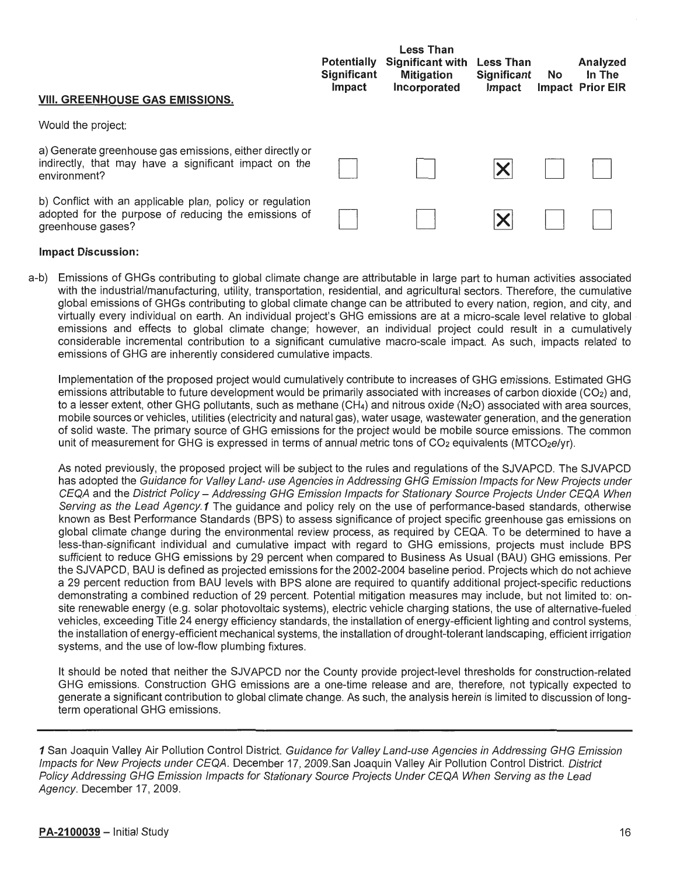**Less Than**  Potentially Significant.with Less<sup>Than Analyzed</sup><br>Significant Mitigation Significant No InThe **Significant Mitigation Significant Incorporated Impact Impact Prior EIR VIII. GREENHOUSE GAS EMISSIONS.**  Would the project: a) Generate greenhouse gas emissions, either directly or indirectly, that may have a significant impact on the X environment? b) Conflict with an applicable plan, policy or regulation adopted for the purpose of reducing the emissions of greenhouse gases?

# **Impact Discussion:**

a-b) Emissions of GHGs contributing to global climate change are attributable in large part to human activities associated with the industrial/manufacturing, utility, transportation, residential, and agricultural sectors. Therefore, the cumulative global emissions of GHGs contributing to global climate change can be attributed to every nation, region, and city, and virtually every individual on earth. An individual project's GHG emissions are at a micro-scale level relative to global emissions and effects to global climate change; however, an individual project could result in a cumulatively considerable incremental contribution to a significant cumulative macro-scale impact. As such, impacts related to emissions of GHG are inherently considered cumulative impacts.

Implementation of the proposed project would cumulatively contribute to increases of GHG emissions. Estimated GHG emissions attributable to future development would be primarily associated with increases of carbon dioxide (CO<sub>2</sub>) and. to a lesser extent, other GHG pollutants, such as methane (CH<sub>4</sub>) and nitrous oxide (N<sub>2</sub>O) associated with area sources, mobile sources or vehicles, utilities (electricity and natural gas), water usage, wastewater generation, and the generation of solid waste. The primary source of GHG emissions for the project would be mobile source emissions. The common unit of measurement for GHG is expressed in terms of annual metric tons of CO<sub>2</sub> equivalents (MTCO<sub>2</sub>e/yr).

As noted previously, the proposed project will be subject to the rules and regulations of the SJVAPCD. The SJVAPCD has adopted the Guidance for Valley Land- use Agencies in Addressing GHG Emission Impacts for New Projects under CEQA and the District Policy- Addressing GHG Emission Impacts for Stationary Source Projects Under CEQA When Serving as the Lead Agency.1 The guidance and policy rely on the use of performance-based standards, otherwise known as Best Performance Standards (BPS) to assess significance of project specific greenhouse gas emissions on global climate change during the environmental review process, as required by CEQA. To be determined to have a less-than-significant individual and cumulative impact with regard to GHG emissions, projects must include BPS sufficient to reduce GHG emissions by 29 percent when compared to Business As Usual (BAU) GHG emissions. Per the SJVAPCD, BAU is defined as projected emissions for the 2002-2004 baseline period. Projects which do not achieve a 29 percent reduction from BAU levels with BPS alone are required to quantify additional project-specific reductions demonstrating a combined reduction of 29 percent. Potential mitigation measures may include, but not limited to: onsite renewable energy (e.g. solar photovoltaic systems), electric vehicle charging stations, the use of alternative-fueled vehicles, exceeding Title 24 energy efficiency standards, the installation of energy-efficient lighting and control systems, · the installation of energy-efficient mechanical systems, the installation of drought-tolerant landscaping, efficient irrigation systems, and the use of low-flow plumbing fixtures.

It should be noted that neither the SJVAPCD nor the County provide project-level thresholds for construction-related GHG emissions. Construction GHG emissions are a one-time release and are, therefore, not typically expected to generate a significant contribution to global climate change. As such, the analysis herein is limited to discussion of longterm operational GHG emissions.

**1** San Joaquin Valley Air Pollution Control District. Guidance for Valley Land-use Agencies in Addressing GHG Emission Impacts for New Projects under CEQA. December 17, 2009.San Joaquin Valley Air Pollution Control District. District Policy Addressing GHG Emission Impacts for Stationary Source Projects Under CEQA When Serving as the Lead Agency. December 17, 2009.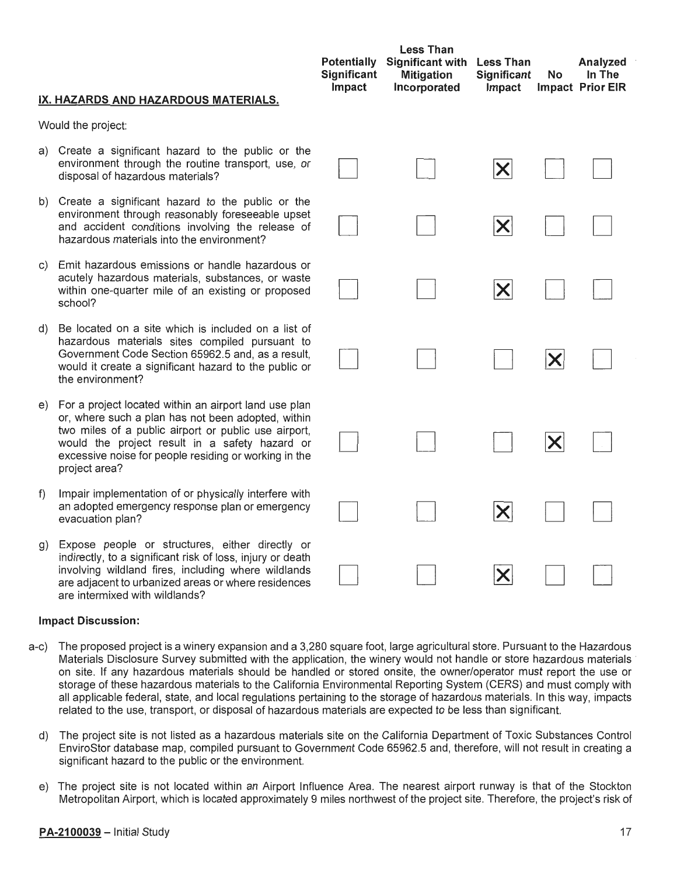# **IX. HAZARDS AND HAZARDOUS MATERIALS.**

Would the project:

- a) Create a significant hazard to the public or the environment through the routine transport, use, or disposal of hazardous materials?
- b) Create a significant hazard to the public or the environment through reasonably foreseeable upset and accident conditions involving the release of hazardous materials into the environment?
- c) Emit hazardous emissions or handle hazardous or acutely hazardous materials, substances, or waste within one-quarter mile of an existing or proposed school?
- d) Be located on a site which is included on a list of hazardous materials sites compiled pursuant to<br>Government Code Section 65962.5 and, as a result, would it create a significant hazard to the public or the environment?
- e) For a project located within an airport land use plan or, where such a plan has not been adopted, within two miles of a public airport or public use airport, would the project result in a safety hazard or excessive noise for people residing or working in the project area?
- Impair implementation of or physically interfere with an adopted emergency response plan or emergency evacuation plan?
- g) Expose people or structures, either directly or indirectly, to a significant risk of loss, injury or death are adjacent to urbanized areas or where residences  $\Box$ are intermixed with wildlands?

### **Impact Discussion:**

- a-c) The proposed project is a winery expansion and a 3,280 square foot, large agricultural store. Pursuant to the Hazardous Materials Disclosure Survey submitted with the application, the winery would not handle or store hazardous materials · on site. If any hazardous materials should be handled or stored onsite, the owner/operator must report the use or storage of these hazardous materials to the California Environmental Reporting System (CERS) and must comply with all applicable federal, state, and local regulations pertaining to the storage of hazardous materials. In this way, impacts related to the use, transport, or disposal of hazardous materials are expected to be less than significant.
	- d) The project site is not listed as a hazardous materials site on the California Department of Toxic Substances Control EnviroStor database map, compiled pursuant to Government Code 65962.5 and, therefore, will not result in creating a significant hazard to the public or the environment.
	- e) The project site is not located within an Airport Influence Area. The nearest airport runway is that of the Stockton Metropolitan Airport, which is located approximately 9 miles northwest of the project site. Therefore, the project's risk of

| Potentially<br><b>Significant</b><br>Impact | <b>Less</b> Than<br><b>Significant with</b><br><b>Mitigation</b><br>Incorporated | <b>Less Than</b><br><b>Significant</b><br>Impact | No                          | Analyzed<br>In The<br><b>Impact Prior EIR</b> |
|---------------------------------------------|----------------------------------------------------------------------------------|--------------------------------------------------|-----------------------------|-----------------------------------------------|
|                                             |                                                                                  | $\boxed{\textsf{x}}$                             |                             |                                               |
|                                             |                                                                                  | $\overline{\mathbf{X}}$                          |                             |                                               |
|                                             |                                                                                  | $ \boldsymbol{\mathsf{X}} $                      |                             |                                               |
|                                             |                                                                                  |                                                  | $ \boldsymbol{\mathsf{X}} $ |                                               |
|                                             |                                                                                  |                                                  | $\vert\mathsf{X}\vert$      |                                               |
|                                             |                                                                                  | $ \boldsymbol{\mathsf{X}} $                      |                             |                                               |
|                                             |                                                                                  | $\boldsymbol{\times}$                            |                             |                                               |

**Less Than**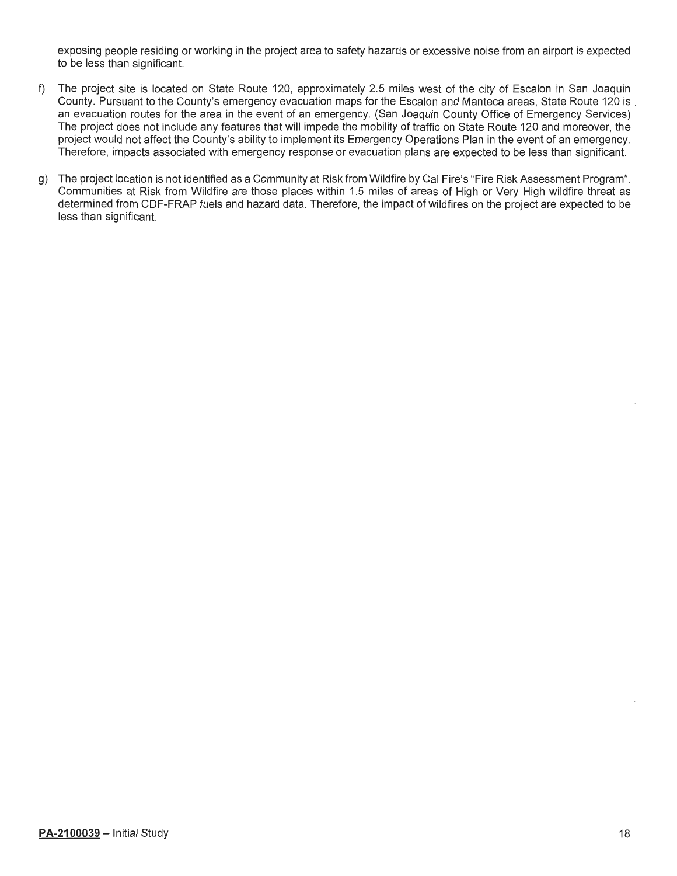exposing people residing or working in the project area to safety hazards or excessive noise from an airport is expected to be less than significant.

- f) The project site is located on State Route 120, approximately 2.5 miles west of the city of Escalon in San Joaquin County. Pursuant to the County's emergency evacuation maps for the Escalon and Manteca areas, State Route 120 is . an evacuation routes for the area in the event of an emergency. (San Joaquin County Office of Emergency Services) The project does not include any features that will impede the mobility of traffic on State Route 120 and moreover, the project would not affect the County's ability to implement its Emergency Operations Plan in the event of an emergency. Therefore, impacts associated with emergency response or evacuation plans are expected to be less than significant.
- g) The project location is not identified as a Community at Risk from Wildfire by Cal Fire's "Fire Risk Assessment Program". Communities at Risk from Wildfire are those places within 1.5 miles of areas of High or Very High wildfire threat as determined from GDF-FRAP fuels and hazard data. Therefore, the impact of wildfires on the project are expected to be less than significant.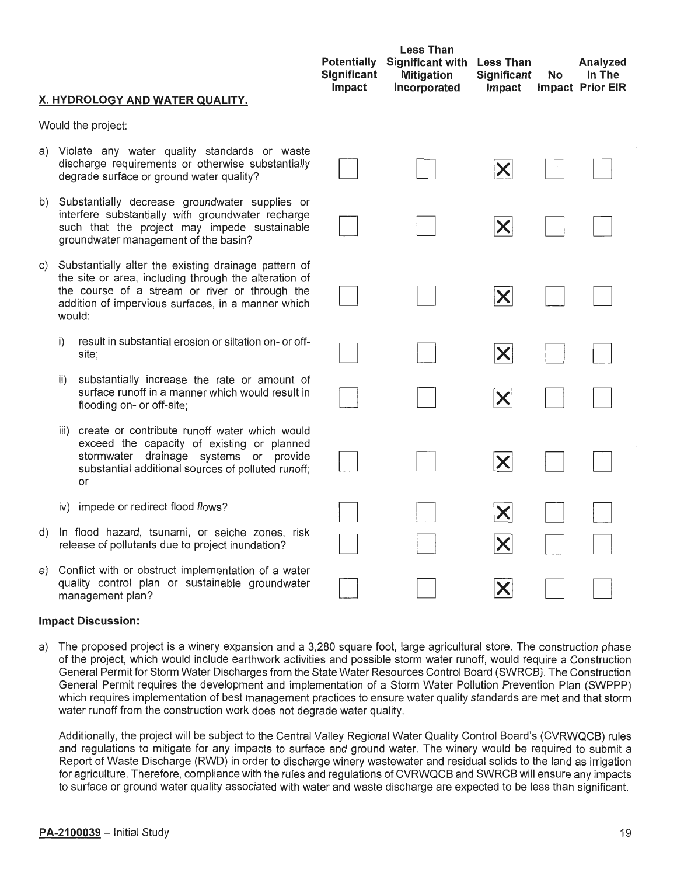# **Significant Mitigation Significant No In The Incorporated Impact** Impact Prior EIR  $\vert\boldsymbol{\mathsf{X}}\vert$ X X X X

# **Impact Discussion:**

a) The proposed project is a winery expansion and a 3,280 square foot, large agricultural store. The construction phase of the project, which would include earthwork activities and possible storm water runoff, would require a Construction General Permit for Storm Water Discharges from the State Water Resources Control Board (SWRCB). The Construction General Permit requires the development and implementation of a Storm Water Pollution Prevention Plan (SWPPP) which requires implementation of best management practices to ensure water quality standards are met and that storm water runoff from the construction work does not degrade water quality.

Additionally, the project will be subject to the Central Valley Regional Water Quality Control Board's (CVRWQCB) rules and regulations to mitigate for any impacts to surface and ground water. The winery would be required to submit a Report of Waste Discharge (RWD) in order to discharge winery wastewater and residual solids to the land as irrigation for agriculture. Therefore, compliance with the rules and regulations of CVRWQCB and SWRCB will ensure any impacts to surface or ground water quality associated with water and waste discharge are expected to be less than significant.

# **X. HYDROLOGY AND WATER QUALITY.**

Would the project:

- a) Violate any water quality standards or waste discharge requirements or otherwise substantially degrade surface or ground water quality?
- b) Substantially decrease groundwater supplies or interfere substantially with groundwater recharge such that the project may impede sustainable groundwater management of the basin?
- c) Substantially alter the existing drainage pattern of the site or area, including through the alteration of the course of a stream or river or through the addition of impervious surfaces, in a manner which would:
	- i) result in substantial erosion or siltation on- or offsite;
	- ii) substantially increase the rate or amount of surface runoff in a manner which would result in flooding on- or off-site;
	- iii) create or contribute runoff water which would exceed the capacity of existing or planned stormwater drainage systems or provide substantial additional sources of polluted runoff; or
	- iv) impede or redirect flood flows?
- d) In flood hazard, tsunami, or seiche zones, risk release of pollutants due to project inundation?
- e) Conflict with or obstruct implementation of a water quality control plan or sustainable groundwater management plan?

**Potentially Significant with Less Than** 

**Less Than** 

X

**Analyzed**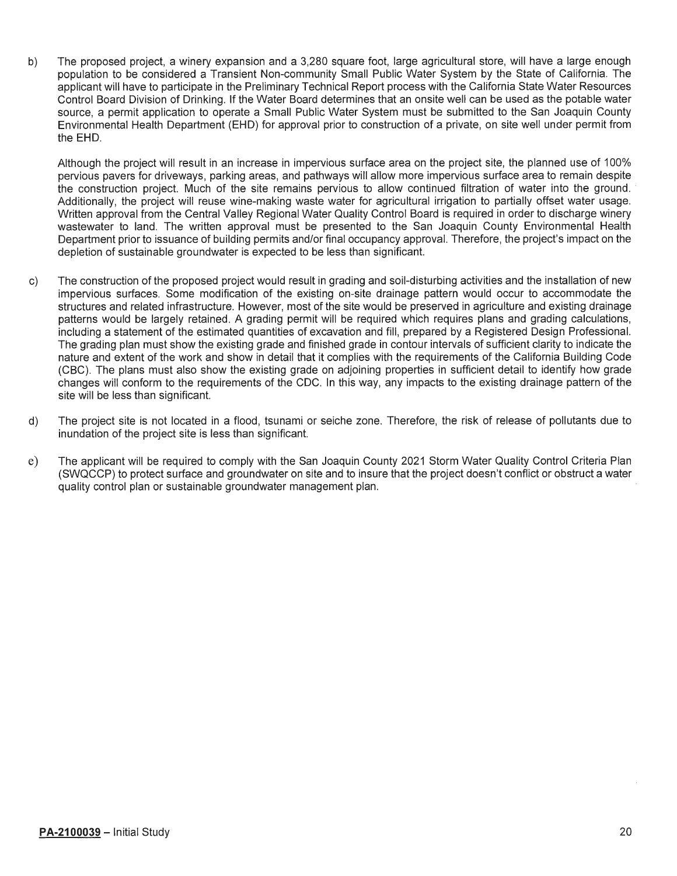b) The proposed project, a winery expansion and a 3,280 square foot, large agricultural store, will have a large enough population to be considered a Transient Non-community Small Public Water System by the State of California. The applicant will have to participate in the Preliminary Technical Report process with the California State Water Resources Control Board Division of Drinking. If the Water Board determines that an onsite well can be used as the potable water source, a permit application to operate a Small Public Water System must be submitted to the San Joaquin County Environmental Health Department (EHD) for approval prior to construction of a private, on site well under permit from the EHD.

Although the project will result in an increase in impervious surface area on the project site, the planned use of 100% pervious pavers for driveways, parking areas, and pathways will allow more impervious surface area to remain despite the construction project. Much of the site remains pervious to allow continued filtration of water into the ground. Additionally, the project will reuse wine-making waste water for agricultural irrigation to partially offset water usage. Written approval from the Central Valley Regional Water Quality Control Board is required in order to discharge winery wastewater to land. The written approval must be presented to the San Joaquin County Environmental Health Department prior to issuance of building permits and/or final occupancy approval. Therefore, the project's impact on the depletion of sustainable groundwater is expected to be less than significant.

- c) The construction of the proposed project would result in grading and soil-disturbing activities and the installation of new impervious surfaces. Some modification of the existing on-site drainage pattern would occur to accommodate the structures and related infrastructure. However, most of the site would be preserved in agriculture and existing drainage patterns would be largely retained. A grading permit will be required which requires plans and grading calculations, including a statement of the estimated quantities of excavation and fill, prepared by a Registered Design Professional. The grading plan must show the existing grade and finished grade in contour intervals of sufficient clarity to indicate the nature and extent of the work and show in detail that it complies with the requirements of the California Building Code (CBC). The plans must also show the existing grade on adjoining properties in sufficient detail to identify how grade changes will conform to the requirements of the CDC. In this way, any impacts to the existing drainage pattern of the site will be less than significant.
- d) The project site is not located in a flood, tsunami or seiche zone. Therefore, the risk of release of pollutants due to inundation of the project site is less than significant.
- e) The applicant will be required to comply with the San Joaquin County 2021 Storm Water Quality Control Criteria Plan (SWQCCP) to protect surface and groundwater on site and to insure that the project doesn't conflict or obstruct a water quality control plan or sustainable groundwater management plan.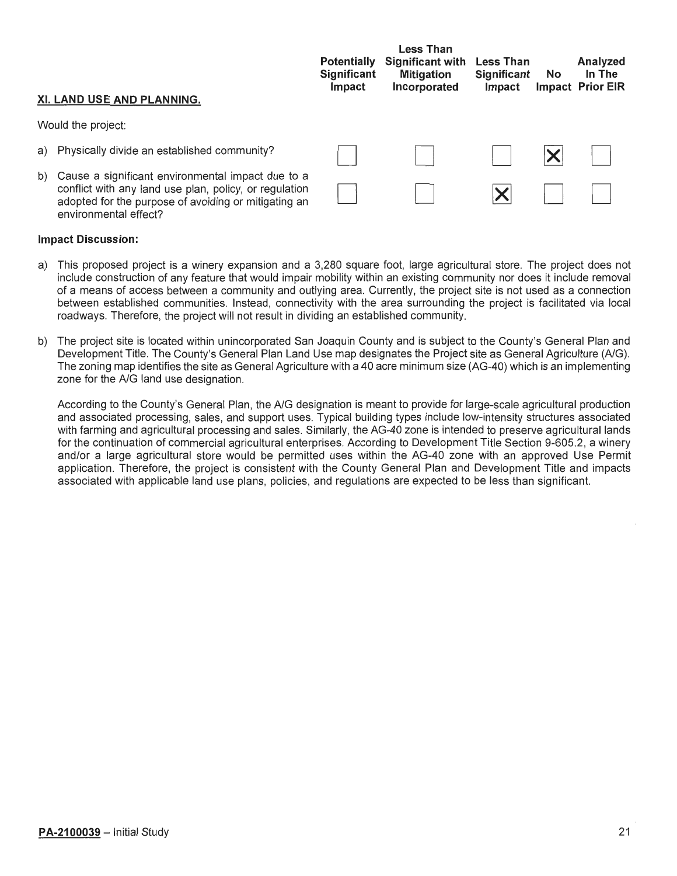**XI. LAND USE AND PLANNING.**  Would the project: a) Physically divide an established community? b) Cause a significant environmental impact due to a conflict with any land use plan, policy, or regulation adopted for the purpose of avoiding or mitigating an environmental effect? **Less Than Potentially Significant with Less Than Significant Mitigation Significant Incorporated Analyzed No In The Impact** Impact Prior EIR  $|\mathsf{X}|$ 

# **Impact Discussion:**

- a) This proposed project is a winery expansion and a 3,280 square foot, large agricultural store. The project does not include construction of any feature that would impair mobility within an existing community nor does it include removal of a means of access between a community and outlying area. Currently, the project site is not used as a connection between established communities. Instead, connectivity with the area surrounding the project is facilitated via local roadways. Therefore, the project will not result in dividing an established community.
- b) The project site is located within unincorporated San Joaquin County and is subject to the County's General Plan and Development Title. The County's General Plan Land Use map designates the Project site as General Agriculture (A/G). The zoning map identifies the site as General Agriculture with a 40 acre minimum size (AG-40) which is an implementing zone for the A/G land use designation.

According to the County's General Plan, the A/G designation is meant to provide for large-scale agricultural production and associated processing, sales, and support uses. Typical building types include low-intensity structures associated with farming and agricultural processing and sales. Similarly, the AG-40 zone is intended to preserve agricultural lands for the continuation of commercial agricultural enterprises. According to Development Title Section 9-605.2, a winery and/or a large agricultural store would be permitted uses within the AG-40 zone with an approved Use Permit application. Therefore, the project is consistent with the County General Plan and Development Title and impacts associated with applicable land use plans, policies, and regulations are expected to be less than significant.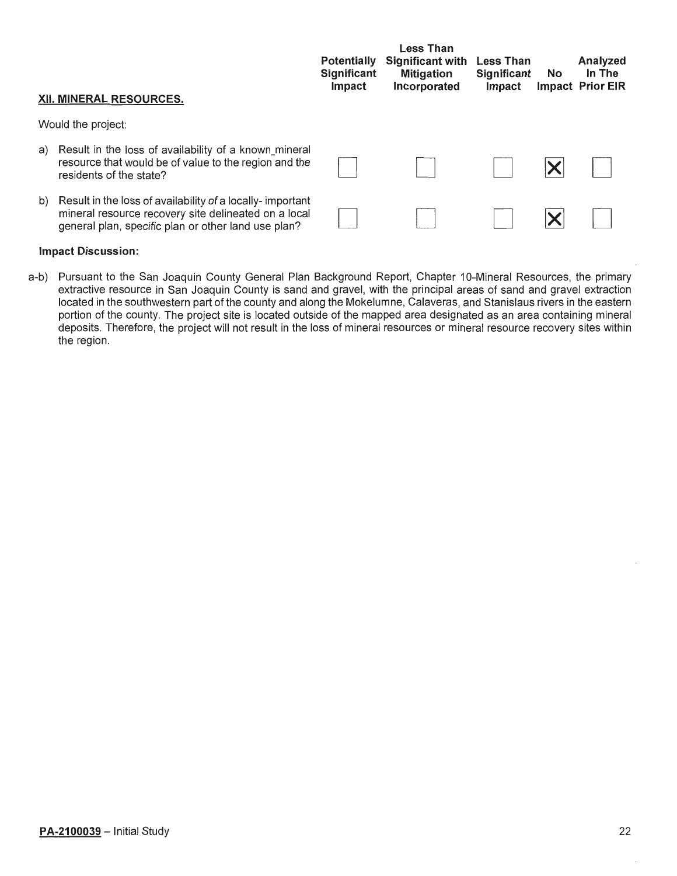|    | <b>XII. MINERAL RESOURCES.</b>                                                                                                                                            | <b>Potentially</b><br><b>Significant</b><br><b>Impact</b> | Less Than<br><b>Significant with</b><br><b>Mitigation</b><br>Incorporated | <b>Less Than</b><br><b>Significant</b><br>Impact | No. | Analyzed<br>In The<br><b>Impact Prior EIR</b> |
|----|---------------------------------------------------------------------------------------------------------------------------------------------------------------------------|-----------------------------------------------------------|---------------------------------------------------------------------------|--------------------------------------------------|-----|-----------------------------------------------|
|    | Would the project:                                                                                                                                                        |                                                           |                                                                           |                                                  |     |                                               |
| a) | Result in the loss of availability of a known mineral<br>resource that would be of value to the region and the<br>residents of the state?                                 |                                                           |                                                                           |                                                  |     |                                               |
| b) | Result in the loss of availability of a locally- important<br>mineral resource recovery site delineated on a local<br>general plan, specific plan or other land use plan? |                                                           |                                                                           |                                                  |     |                                               |

# **Impact Discussion:**

a-b) Pursuant to the San Joaquin County General Plan Background Report, Chapter 10-Mineral Resources, the primary extractive resource in San Joaquin County is sand and gravel, with the principal areas of sand and gravel extraction located in the southwestern part of the county and along the Mokelumne, Calaveras, and Stanislaus rivers in the eastern portion of the county. The project site is located outside of the mapped area designated as an area containing mineral deposits. Therefore, the project will not result in the loss of mineral resources or mineral resource recovery sites within the region.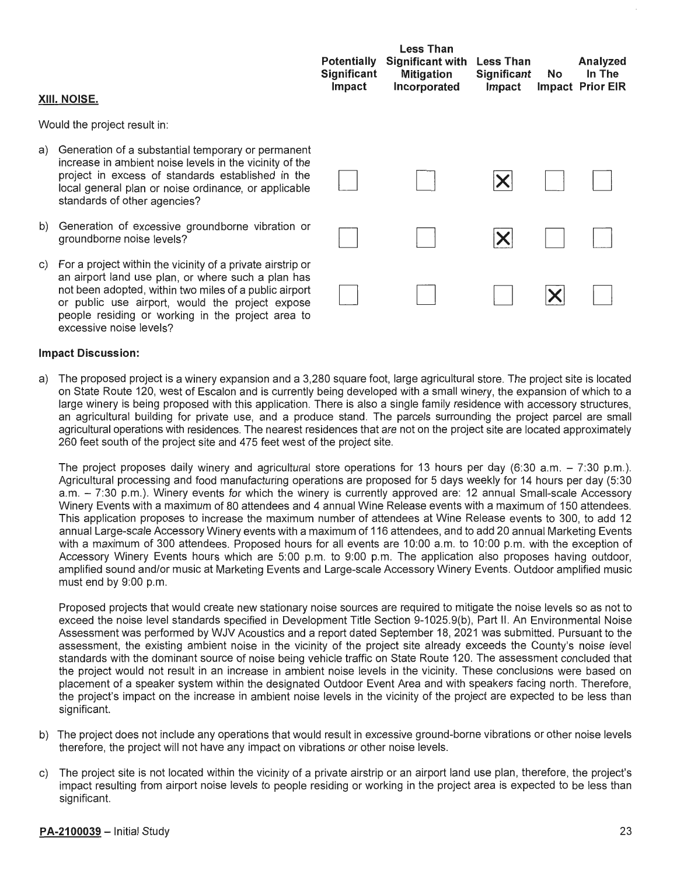**Less Than**  Potentially Significant **with Less Than Analyzed**<br>Significant Mitigation Significant No In The **Indificant Mitigation Significant**<br>Impact Incorporated Impact

**Impact Prior EIR** 

### **XIII. NOISE.**

Would the project result in:

- a) Generation of a substantial temporary or permanent increase in ambient noise levels in the vicinity of the project in excess of standards established in the local general plan or noise ordinance, or applicable standards of other agencies?
- b) Generation of excessive groundborne vibration or groundborne noise levels?
- c) For a project within the vicinity of a private airstrip or an airport land use plan, or where such a plan has not been adopted, within two miles of a public airport or public use airport, would the project expose people residing or working in the project area to excessive noise levels?

### **Impact Discussion:**

a) The proposed project is a winery expansion and a 3,280 square foot, large agricultural store. The project site is located on State Route 120, west of Escalon and is currently being developed with a small winery, the expansion of which to a large winery is being proposed with this application. There is also a single family residence with accessory structures, an agricultural building for private use, and a produce stand. The parcels surrounding the project parcel are small agricultural operations with residences. The nearest residences that are not on the project site are located approximately 260 feet south of the project site and 475 feet west of the project site.

The project proposes daily winery and agricultural store operations for 13 hours per day (6:30 a.m.  $-7:30$  p.m.). Agricultural processing and food manufacturing operations are proposed for 5 days weekly for 14 hours per day (5:30 a.m. - 7:30 p.m.). Winery events for which the winery is currently approved are: 12 annual Small-scale Accessory Winery Events with a maximum of 80 attendees and 4 annual Wine Release events with a maximum of 150 attendees. This application proposes to increase the maximum number of attendees at Wine Release events to 300, to add 12 annual Large-scale Accessory Winery events with a maximum of 116 attendees, and to add 20 annual Marketing Events with a maximum of 300 attendees. Proposed hours for all events are 10:00 a.m. to 10:00 p.m. with the exception of Accessory Winery Events hours which are 5:00 p.m. to 9:00 p.m. The application also proposes having outdoor, amplified sound and/or music at Marketing Events and Large-scale Accessory Winery Events. Outdoor amplified music must end by 9:00 p.m.

Proposed projects that would create new stationary noise sources are required to mitigate the noise levels so as not to · exceed the noise level standards specified in Development Title Section 9-1025.9(b), Part II. An Environmental Noise Assessment was performed by WJV Acoustics and a report dated September 18, 2021 was submitted. Pursuant to the assessment, the existing ambient noise in the vicinity of the project site already exceeds the County's noise level standards with the dominant source of noise being vehicle traffic on State Route 120. The assessment concluded that the project would not result in an increase in ambient noise levels in the vicinity. These conclusions were based on placement of a speaker system within the designated Outdoor Event Area and with speakers facing north. Therefore, the project's impact on the increase in ambient noise levels in the vicinity of the project are expected to be less than significant.

- b) The project does not include any operations that would result in excessive ground-borne vibrations or other noise levels therefore, the project will not have any impact on vibrations or other noise levels.
- c) The project site is not located within the vicinity of a private airstrip or an airport land use plan, therefore, the project's impact resulting from airport noise levels to people residing or working in the project area is expected to be less than significant.

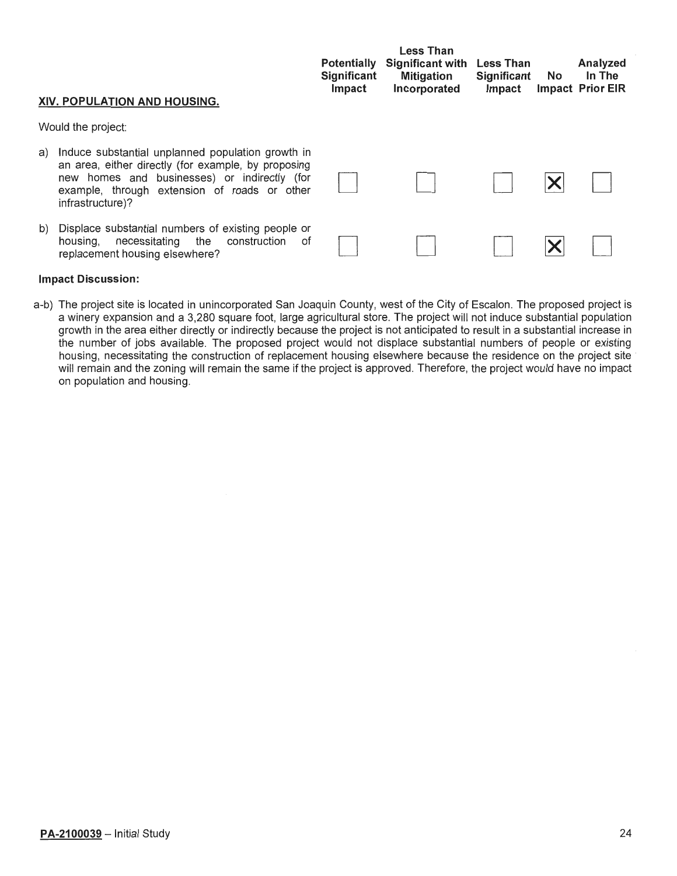**Less Than Potentially Significant with Less Than Analyzed Significant Mitigation Significant No In The Ignificant Mitigation Significant No**<br>Impact Incorporated Impact Impa **Impact Impact Prior EIR** 

### **XIV. POPULATION AND HOUSING.**

Would the project:

- a) Induce substantial unplanned population growth in an area, either directly (for example, by proposing new homes and businesses) or indirectly (for example, through extension of roads or other infrastructure)?
- b) Displace substantial numbers of existing people or housing, necessitating the construction of replacement housing elsewhere?

| $\Box$ $\Box$ $\Box$ $\Box$ $\Box$ |  |  |
|------------------------------------|--|--|
|                                    |  |  |
|                                    |  |  |

### **Impact Discussion:**

a-b) The project site is located in unincorporated San Joaquin County, west of the City of Escalon. The proposed project is a winery expansion and a 3,280 square foot, large agricultural store. The project will not induce substantial population growth in the area either directly or indirectly because the project is not anticipated to result in a substantial increase in the number of jobs available. The proposed project would not displace substantial numbers of people or existing housing, necessitating the construction of replacement housing elsewhere because the residence on the project site will remain and the zoning will remain the same if the project is approved. Therefore, the project would have no impact on population and housing.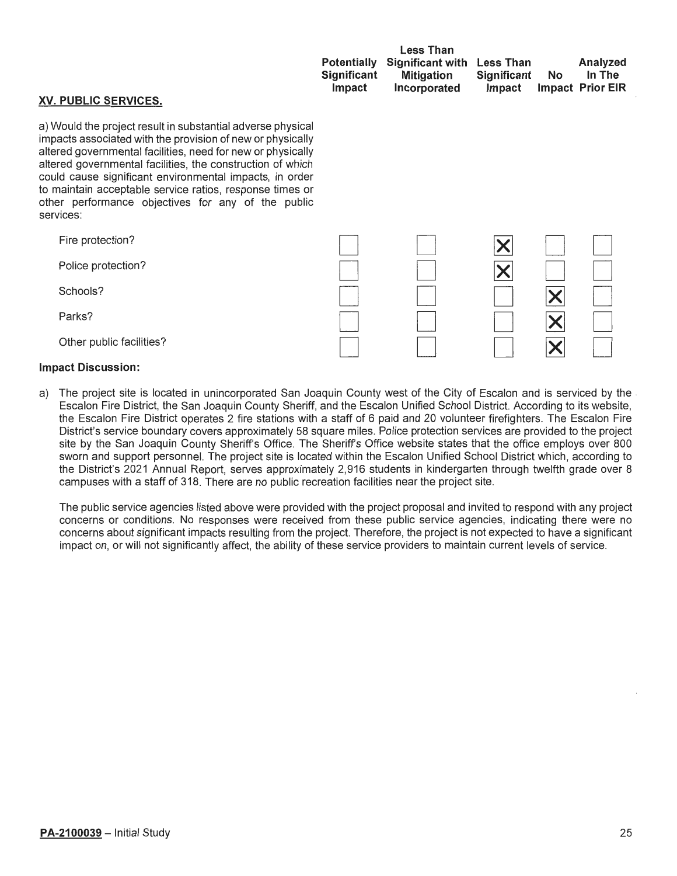|               | <b>Less Than</b>        |                    |     |                         |
|---------------|-------------------------|--------------------|-----|-------------------------|
| Potentially   | <b>Significant with</b> | <b>Less Than</b>   |     | Analyzed                |
| Significant   | <b>Mitigation</b>       | <b>Significant</b> | No. | In The                  |
| <b>Impact</b> | Incorporated            | Impact             |     | <b>Impact Prior EIR</b> |
|               |                         |                    |     |                         |

# **XV. PUBLIC SERVICES.**

a) Would the project result in substantial adverse physical impacts associated with the provision of new or physically altered governmental facilities, need for new or physically altered governmental facilities, the construction of which could cause significant environmental impacts, in order to maintain acceptable service ratios, response times or other performance objectives for any of the public services:

|  | Fire protection? |
|--|------------------|
|--|------------------|

Police protection?

Schools?

Parks?

Other public facilities?

### **Impact Discussion:**

a) The project site is located in unincorporated San Joaquin County west of the City of Escalon and is serviced by the Escalon Fire District, the San Joaquin County Sheriff, and the Escalon Unified School District. According to its website, the Escalon Fire District operates 2 fire stations with a staff of 6 paid and 20 volunteer firefighters. The Escalon Fire District's service boundary covers approximately 58 square miles. Police protection services are provided to the project site by the San Joaquin County Sheriff's Office. The Sheriff's Office website states that the office employs over 800 sworn and support personnel. The project site is located within the Escalon Unified School District which, according to the District's 2021 Annual Report, serves approximately 2,916 students in kindergarten through twelfth grade over 8 campuses with a staff of 318. There are no public recreation facilities near the project site.

The public service agencies listed above were provided with the project proposal and invited to respond with any project concerns or conditions. No responses were received from these public service agencies, indicating there were no concerns about significant impacts resulting from the project. Therefore, the project is not expected to have a significant impact on, or will not significantly affect, the ability of these service providers to maintain current levels of service.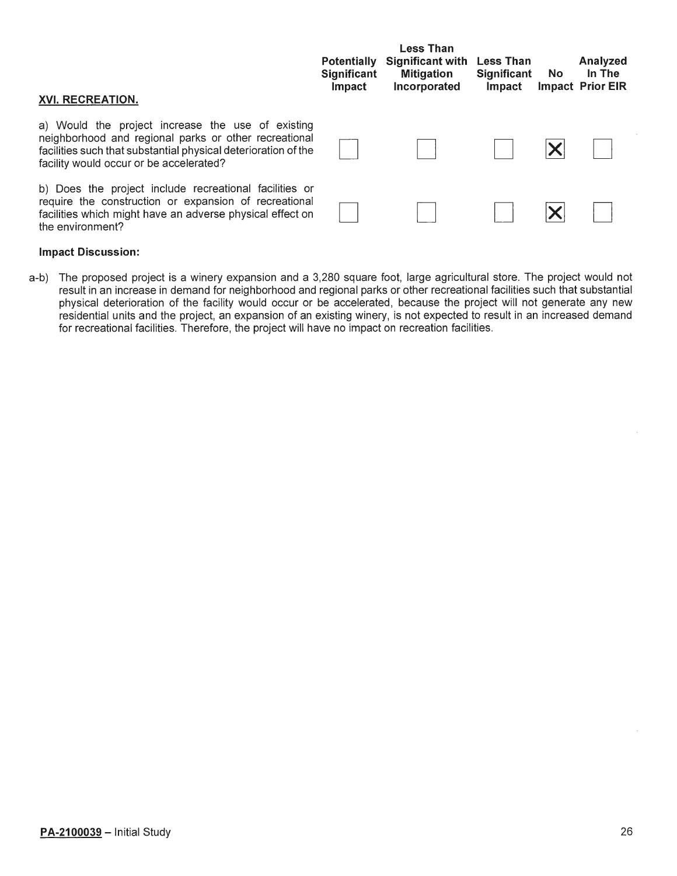| <b>XVI. RECREATION.</b>                                                                                                                                                                                                 | <b>Potentially</b><br><b>Significant</b><br>Impact | <b>Less Than</b><br><b>Significant with</b><br><b>Mitigation</b><br>Incorporated | <b>Less Than</b><br><b>Significant</b><br><b>Impact</b> | No. | <b>Analyzed</b><br>In The<br><b>Impact Prior EIR</b> |
|-------------------------------------------------------------------------------------------------------------------------------------------------------------------------------------------------------------------------|----------------------------------------------------|----------------------------------------------------------------------------------|---------------------------------------------------------|-----|------------------------------------------------------|
| a) Would the project increase the use of existing<br>neighborhood and regional parks or other recreational<br>facilities such that substantial physical deterioration of the<br>facility would occur or be accelerated? |                                                    |                                                                                  |                                                         |     |                                                      |
| b) Does the project include recreational facilities or<br>require the construction or expansion of recreational<br>facilities which might have an adverse physical effect on<br>the environment?                        |                                                    |                                                                                  |                                                         |     |                                                      |

# **Impact Discussion:**

a-b) The proposed project is a winery expansion and a 3,280 square foot, large agricultural store. The project would not result in an increase in demand for neighborhood and regional parks or other recreational facilities such that substantial physical deterioration of the facility would occur or be accelerated, because the project will not generate any new residential units and the project, an expansion of an existing winery, is not expected to result in an increased demand for recreational facilities. Therefore, the project will have no impact on recreation facilities.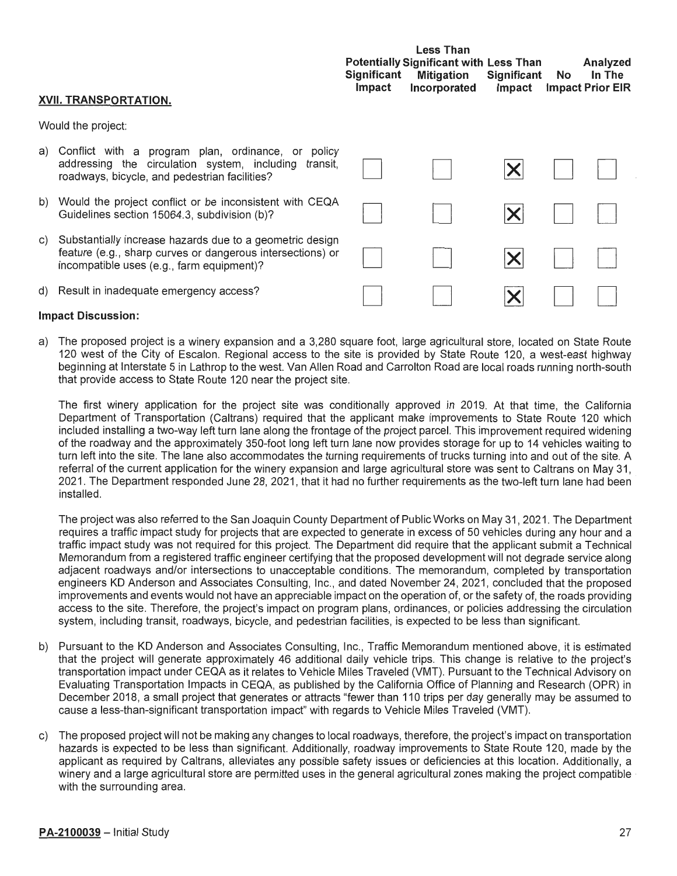# **XVII. TRANSPORTATION.**

Would the project:

|    | <b>Impact Discussion:</b>                                                                                                                                           |  |  |
|----|---------------------------------------------------------------------------------------------------------------------------------------------------------------------|--|--|
|    | d) Result in inadequate emergency access?                                                                                                                           |  |  |
| C) | Substantially increase hazards due to a geometric design<br>feature (e.g., sharp curves or dangerous intersections) or<br>incompatible uses (e.g., farm equipment)? |  |  |
| b) | Would the project conflict or be inconsistent with CEQA<br>Guidelines section 15064.3, subdivision (b)?                                                             |  |  |
| a) | Conflict with a program plan, ordinance, or policy<br>addressing the circulation system, including transit,<br>roadways, bicycle, and pedestrian facilities?        |  |  |
|    |                                                                                                                                                                     |  |  |

a) The proposed project is a winery expansion and a 3,280 square foot, large agricultural store, located on State Route 120 west of the City of Escalon. Regional access to the site is provided by State Route 120, a west-east highway beginning at Interstate 5 in Lathrop to the west. Van Allen Road and Carrolton Road are local roads running north-south that provide access to State Route 120 near the project site.

The first winery application for the project site was conditionally approved in 2019. At that time, the California Department of Transportation (Caltrans) required that the applicant make improvements to State Route 120 which included installing a two-way left turn lane along the frontage of the project parcel. This improvement required widening of the roadway and the approximately 350-foot long left turn lane now provides storage for up to 14 vehicles waiting to turn left into the site. The lane also accommodates the turning requirements of trucks turning into and out of the site. A referral of the current application for the winery expansion and large agricultural store was sent to Caltrans on May 31, 2021. The Department responded June 28, 2021, that it had no further requirements as the two-left turn lane had been · installed.

The project was also referred to the San Joaquin County Department of Public Works on May 31, 2021. The Department requires a traffic impact study for projects that are expected to generate in excess of 50 vehicles during any hour and a traffic impact study was not required for this project. The Department did require that the applicant submit a Technical Memorandum from a registered traffic engineer certifying that the proposed development will not degrade service along adjacent roadways and/or intersections to unacceptable conditions. The memorandum, completed by transportation engineers KD Anderson and Associates Consulting, Inc., and dated November 24, 2021, concluded that the proposed improvements and events would not have an appreciable impact on the operation of, or the safety of, the roads providing access to the site. Therefore, the project's impact on program plans, ordinances, or policies addressing the circulation system, including transit, roadways, bicycle, and pedestrian facilities, is expected to be less than significant.

- b) Pursuant to the KO Anderson and Associates Consulting, Inc., Traffic Memorandum mentioned above, it is estimated that the project will generate approximately 46 additional daily vehicle trips. This change is relative to the project's transportation impact under CEQA as it relates to Vehicle Miles Traveled (VMT). Pursuant to the Technical Advisory on Evaluating Transportation Impacts in CEQA, as published by the California Office of Planning and Research (QPR) in December 2018, a small project that generates or attracts "fewer than 110 trips per day generally may be assumed to cause a less-than-significant transportation impact" with regards to Vehicle Miles Traveled (VMT).
- c) The proposed project will not be making any changes to local roadways, therefore, the project's impact on transportation hazards is expected to be less than significant. Additionally, roadway improvements to State Route 120, made by the applicant as required by Caltrans, alleviates any possible safety issues or deficiencies at this location. Additionally, a winery and a large agricultural store are permitted uses in the general agricultural zones making the project compatible with the surrounding area.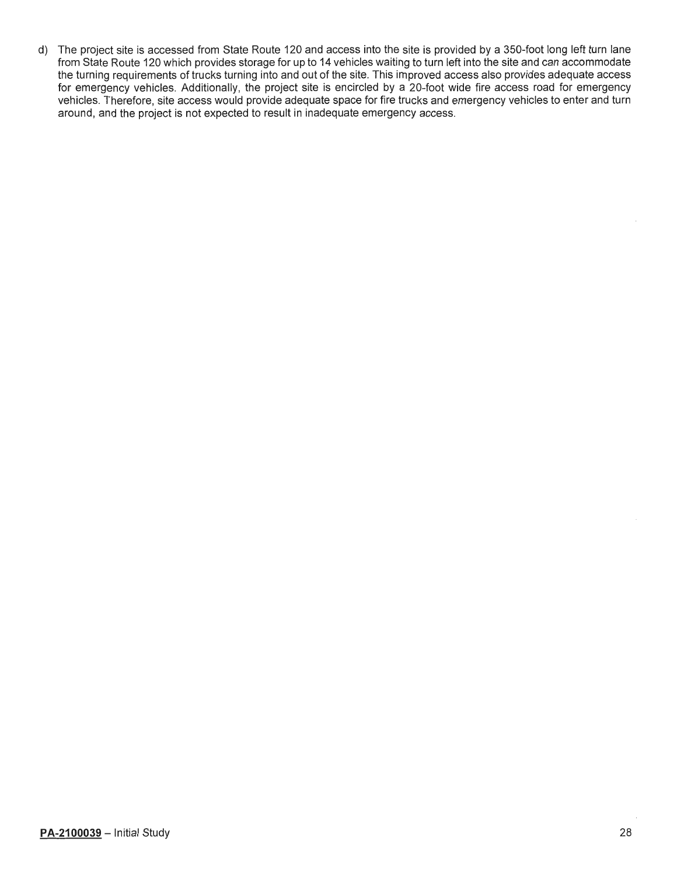d) The project site is accessed from State Route 120 and access into the site is provided by a 350-foot long left turn lane from State Route 120 which provides storage for up to 14 vehicles waiting to turn left into the site and can accommodate the turning requirements of trucks turning into and out of the site. This improved access also provides adequate access for emergency vehicles. Additionally, the project site is encircled by a 20-foot wide fire access road for emergency vehicles. Therefore, site access would provide adequate space for fire trucks and emergency vehicles to enter and turn around, and the project is not expected to result in inadequate emergency access.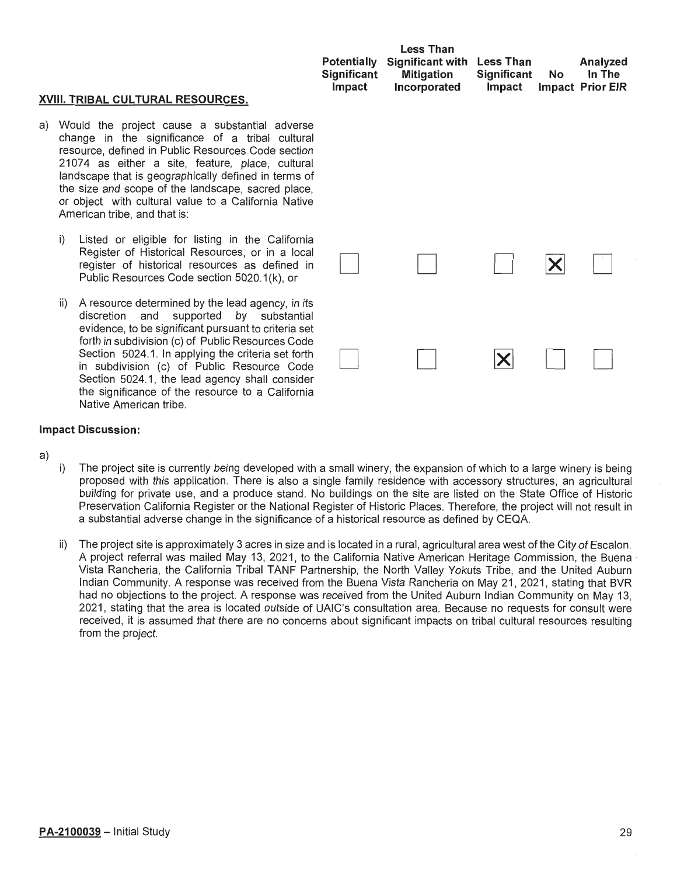| Potentially<br>Significant<br>Impact | <b>Less Than</b><br><b>Significant with</b><br><b>Mitigation</b><br>Incorporated | <b>Less Than</b><br><b>Significant</b><br><b>Impact</b> | No. | Analyzed<br>In The<br><b>Impact Prior EIR</b> |
|--------------------------------------|----------------------------------------------------------------------------------|---------------------------------------------------------|-----|-----------------------------------------------|
|                                      |                                                                                  |                                                         |     |                                               |

### **XVIII. TRIBAL CULTURAL RESOURCES.**

- a) Would the project cause a substantial adverse change in the significance of a tribal cultural resource, defined in Public Resources Code section 21074 as either a site, feature, place, cultural landscape that is geographically defined in terms of the size and scope of the landscape, sacred place, or object with cultural value to a California Native American tribe, and that is:
	- i) Listed or eligible for listing in the California Register of Historical Resources, or in a local register of historical resources as defined in Public Resources Code section 5020.1 (k), or
	- ii) A resource determined by the lead agency, in its discretion and supported by substantial evidence, to be significant pursuant to criteria set forth in subdivision (c) of Public Resources Code Section 5024.1. In applying the criteria set forth in subdivision (c) of Public Resource Code Section 5024.1, the lead agency shall consider the significance of the resource to a California Native American tribe.



### **Impact Discussion:**

### a)

- i) The project site is currently being developed with a small winery, the expansion of which to a large winery is being proposed with this application. There is also a single family residence with accessory structures, an agricultural building for private use, and a produce stand. No buildings on the site are listed on the State Office of Historic Preservation California Register or the National Register of Historic Places. Therefore, the project will not result in a substantial adverse change in the significance of a historical resource as defined by CEQA.
- ii) The project site is approximately 3 acres in size and is located in a rural, agricultural area west of the City of Escalon. A project referral was mailed May 13, 2021, to the California Native American Heritage Commission, the Buena · Vista Rancheria, the California Tribal TANF Partnership, the North Valley Yokuts Tribe, and the United Auburn Indian Community. A response was received from the Buena Vista Rancheria on May 21, 2021, stating that BVR had no objections to the project. A response was received from the United Auburn Indian Community on May 13, 2021, stating that the area is located outside of UAIC's consultation area. Because no requests for consult were received, it is assumed that there are no concerns about significant impacts on tribal cultural resources resulting from the project.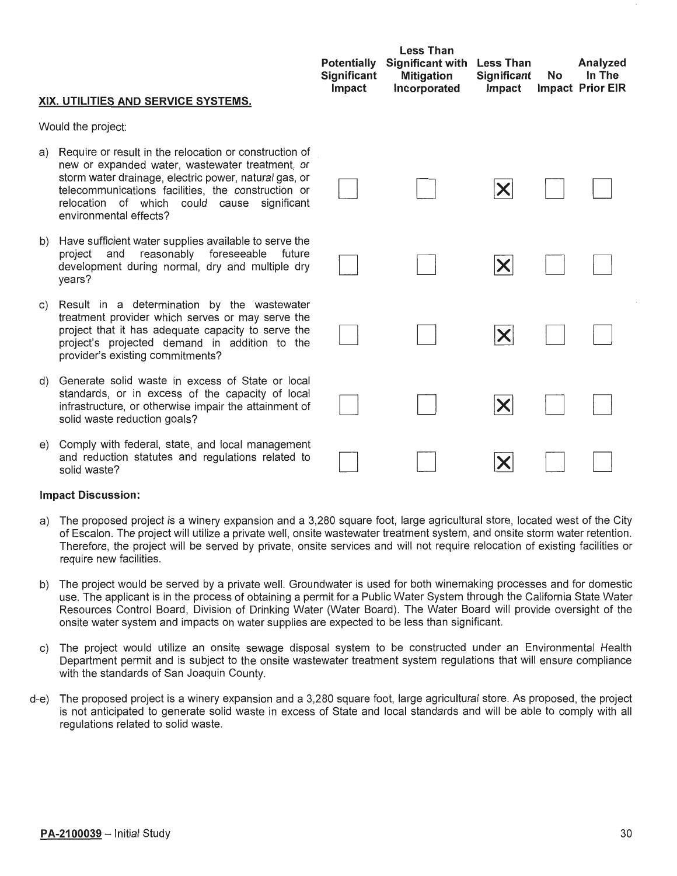# **XIX. UTILITIES AND SERVICE SYSTEMS.**

Would the project:

- a) Require or result in the relocation or construction of new or expanded water, wastewater treatment, or storm water drainage, electric power, natural gas, or telecommunications facilities, the construction or relocation of which could cause significant environmental effects?
- b) Have sufficient water supplies available to serve the project and reasonably foreseeable future development during normal, dry and multiple dry years?
- c) Result in a determination by the wastewater treatment provider which serves or may serve the project that it has adequate capacity to serve the project's projected demand in addition to the provider's existing commitments?
- d) Generate solid waste in excess of State or local standards, or in excess of the capacity of local infrastructure, or otherwise impair the attainment of solid waste reduction goals?
- e) Comply with federal, state, and local management and reduction statutes and regulations related to solid waste?

# **Impact Discussion:**

- a) The proposed project is a winery expansion and a 3,280 square foot, large agricultural store, located west of the City of Escalon. The project will utilize a private well, onsite wastewater treatment system, and onsite storm water retention. Therefore, the project will be served by private, onsite services and will not require relocation of existing facilities or require new facilities.
- b) The project would be served by a private well. Groundwater is used for both winemaking processes and for domestic use. The applicant is in the process of obtaining a permit for a Public Water System through the California State Water Resources Control Board, Division of Drinking Water (Water Board). The Water Board will provide oversight of the onsite water system and impacts on water supplies are expected to be less than significant.
- c) The project would utilize an onsite sewage disposal system to be constructed under an Environmental Health Department permit and is subject to the onsite wastewater treatment system regulations that will ensure compliance with the standards of San Joaquin County.
- d-e) The proposed project is a winery expansion and a 3,280 square foot, large agricultural store. As proposed, the project is not anticipated to generate solid waste in excess of State and local standards and will be able to comply with all regulations related to solid waste.

| πιιμασι                  | m |                         |                             |        |
|--------------------------|---|-------------------------|-----------------------------|--------|
| $\Box$                   |   | $\overline{\mathsf{X}}$ | $\overline{\phantom{a}}$    |        |
|                          |   | $\overline{\mathsf{X}}$ | $\mathcal{L}_{\mathcal{A}}$ |        |
| $\overline{\phantom{a}}$ |   | $\overline{\mathsf{X}}$ | $\Box$                      | $\Box$ |
|                          |   | $\overline{\mathsf{X}}$ |                             |        |
|                          |   | $ \mathsf{X} $          |                             |        |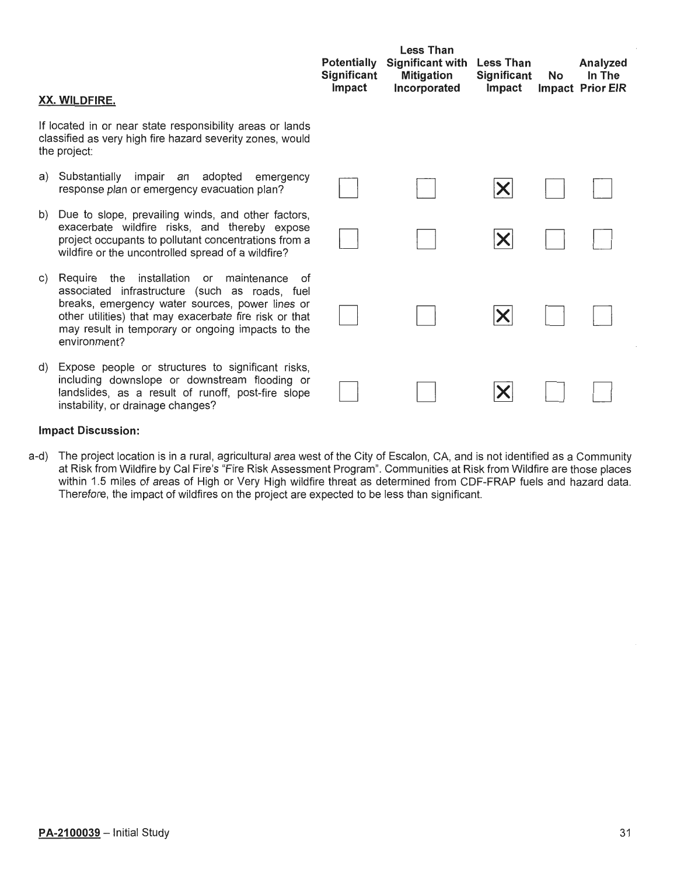| Potentially<br>Significant<br>Impact | <b>Less Than</b><br><b>Significant with</b><br><b>Mitigation</b><br>Incorporated | <b>Less Than</b><br><b>Significant</b><br>Impact | No | <b>Analyzed</b><br>In The<br><b>Impact Prior EIR</b> |
|--------------------------------------|----------------------------------------------------------------------------------|--------------------------------------------------|----|------------------------------------------------------|
|                                      |                                                                                  |                                                  |    |                                                      |
|                                      |                                                                                  |                                                  |    |                                                      |

# **XX. WILDFIRE.**

If located in or near state responsibility areas or lands classified as very high fire hazard severity zones, would the project:

- a) Substantially impair an adopted emergency response plan or emergency evacuation plan?
- b) Due to slope, prevailing winds, and other factors, exacerbate wildfire risks, and thereby expose project occupants to pollutant concentrations from a wildfire or the uncontrolled spread of a wildfire?
- c) Require the installation or maintenance of associated infrastructure (such as roads, fuel breaks, emergency water sources, power lines or other utilities) that may exacerbate fire risk or that may result in temporary or ongoing impacts to the environment?
- d) Expose people or structures to significant risks, including downslope or downstream flooding or landslides, as a result of runoff, post-fire slope instability, or drainage changes?

| $\blacksquare$ |  |  |
|----------------|--|--|

### **Impact Discussion:**

a-d) The project location is in a rural, agricultural area west of the City of Escalon, CA, and is not identified as a Community at Risk from Wildfire by Cal Fire's "Fire Risk Assessment Program". Communities at Risk from Wildfire are those places within 1.5 miles of areas of High or Very High wildfire threat as determined from CDF-FRAP fuels and hazard data. Therefore, the impact of wildfires on the project are expected to be less than significant.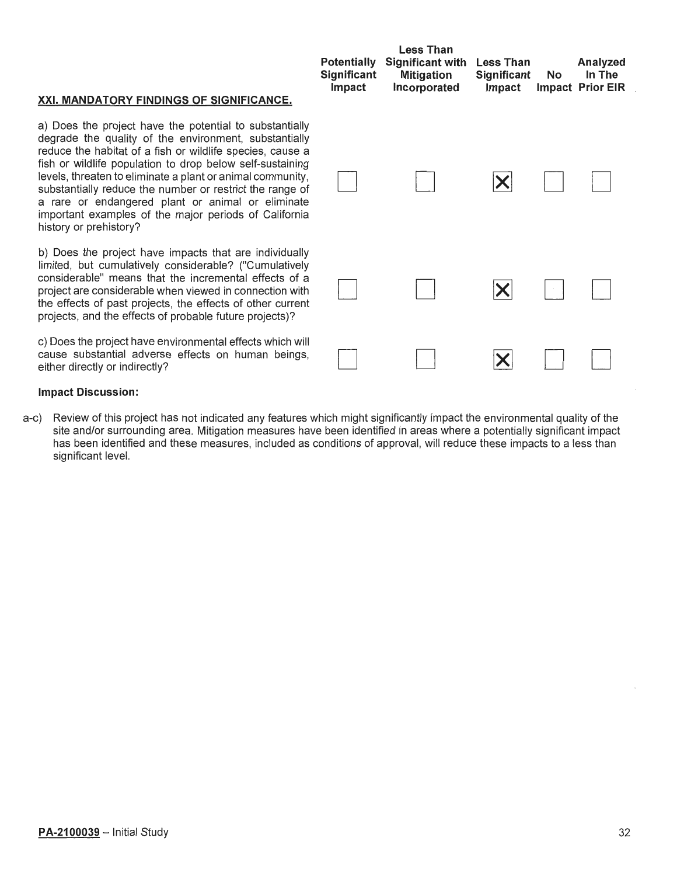# **XXI. MANDATORY FINDINGS OF SIGNIFICANCE.**

a) Does the project have the potential to substantially degrade the quality of the environment, substantially reduce the habitat of a fish or wildlife species, cause a fish or wildlife population to drop below self-sustaining levels, threaten to eliminate a plant or animal community, substantially reduce the number or restrict the range of a rare or endangered plant or animal or eliminate important examples of the major periods of California history or prehistory?

b) Does the project have impacts that are individually limited, but cumulatively considerable? ("Cumulatively considerable" means that the incremental effects of a project are considerable when viewed in connection with the effects of past projects, the effects of other current projects, and the effects of probable future projects)?

c) Does the project have environmental effects which will cause substantial adverse effects on human beings, either directly or indirectly?

| Potentially<br><b>Significant</b><br>Impact | <b>Less Than</b><br><b>Significant with</b><br><b>Mitigation</b><br>Incorporated | <b>Less Than</b><br><b>Significant</b><br>Impact | No | Analyzed<br>In The<br>Impact Prior EIR |
|---------------------------------------------|----------------------------------------------------------------------------------|--------------------------------------------------|----|----------------------------------------|
|                                             |                                                                                  |                                                  |    |                                        |
|                                             |                                                                                  |                                                  |    |                                        |
|                                             |                                                                                  |                                                  |    |                                        |

# **Impact Discussion:**

a-c) Review of this project has not indicated any features which might significantly impact the environmental quality of the site and/or surrounding area. Mitigation measures have been identified in areas where a potentially significant impact has been identified and these measures, included as conditions of approval, will reduce these impacts to a less than significant level.